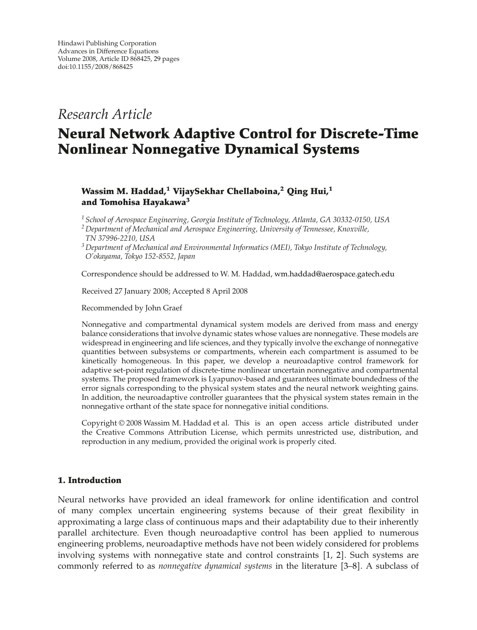*Research Article*

# **Neural Network Adaptive Control for Discrete-Time Nonlinear Nonnegative Dynamical Systems**

**Wassim M. Haddad,1 VijaySekhar Chellaboina,2 Qing Hui,1 and Tomohisa Hayakawa3**

*<sup>1</sup> School of Aerospace Engineering, Georgia Institute of Technology, Atlanta, GA 30332-0150, USA <sup>2</sup> Department of Mechanical and Aerospace Engineering, University of Tennessee, Knoxville, TN 37996-2210, USA*

*<sup>3</sup> Department of Mechanical and Environmental Informatics (MEI), Tokyo Institute of Technology, O'okayama, Tokyo 152-8552, Japan*

Correspondence should be addressed to W. M. Haddad, wm.haddad@aerospace.gatech.edu

Received 27 January 2008; Accepted 8 April 2008

Recommended by John Graef

Nonnegative and compartmental dynamical system models are derived from mass and energy balance considerations that involve dynamic states whose values are nonnegative. These models are widespread in engineering and life sciences, and they typically involve the exchange of nonnegative quantities between subsystems or compartments, wherein each compartment is assumed to be kinetically homogeneous. In this paper, we develop a neuroadaptive control framework for adaptive set-point regulation of discrete-time nonlinear uncertain nonnegative and compartmental systems. The proposed framework is Lyapunov-based and guarantees ultimate boundedness of the error signals corresponding to the physical system states and the neural network weighting gains. In addition, the neuroadaptive controller guarantees that the physical system states remain in the nonnegative orthant of the state space for nonnegative initial conditions.

Copyright © 2008 Wassim M. Haddad et al. This is an open access article distributed under the Creative Commons Attribution License, which permits unrestricted use, distribution, and reproduction in any medium, provided the original work is properly cited.

#### **1. Introduction**

Neural networks have provided an ideal framework for online identification and control of many complex uncertain engineering systems because of their great flexibility in approximating a large class of continuous maps and their adaptability due to their inherently parallel architecture. Even though neuroadaptive control has been applied to numerous engineering problems, neuroadaptive methods have not been widely considered for problems involving systems with nonnegative state and control constraints [1, 2]. Such systems are commonly referred to as *nonnegative dynamical systems* in the literature [3–8]. A subclass of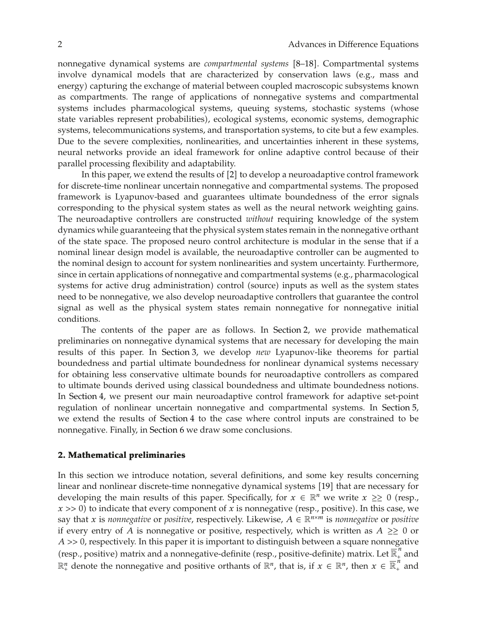nonnegative dynamical systems are *compartmental systems* [8-18]. Compartmental systems involve dynamical models that are characterized by conservation laws (e.g., mass and energy) capturing the exchange of material between coupled macroscopic subsystems known as compartments. The range of applications of nonnegative systems and compartmental systems includes pharmacological systems, queuing systems, stochastic systems (whose state variables represent probabilities), ecological systems, economic systems, demographic systems, telecommunications systems, and transportation systems, to cite but a few examples. Due to the severe complexities, nonlinearities, and uncertainties inherent in these systems, neural networks provide an ideal framework for online adaptive control because of their parallel processing flexibility and adaptability.

In this paper, we extend the results of  $[2]$  to develop a neuroadaptive control framework for discrete-time nonlinear uncertain nonnegative and compartmental systems. The proposed framework is Lyapunov-based and guarantees ultimate boundedness of the error signals corresponding to the physical system states as well as the neural network weighting gains. The neuroadaptive controllers are constructed *without* requiring knowledge of the system dynamics while guaranteeing that the physical system states remain in the nonnegative orthant of the state space. The proposed neuro control architecture is modular in the sense that if a nominal linear design model is available, the neuroadaptive controller can be augmented to the nominal design to account for system nonlinearities and system uncertainty. Furthermore, since in certain applications of nonnegative and compartmental systems  $(e.g.,$  pharmacological systems for active drug administration) control (source) inputs as well as the system states need to be nonnegative, we also develop neuroadaptive controllers that guarantee the control signal as well as the physical system states remain nonnegative for nonnegative initial conditions.

The contents of the paper are as follows. In Section 2, we provide mathematical preliminaries on nonnegative dynamical systems that are necessary for developing the main results of this paper. In Section 3, we develop *new* Lyapunov-like theorems for partial boundedness and partial ultimate boundedness for nonlinear dynamical systems necessary for obtaining less conservative ultimate bounds for neuroadaptive controllers as compared to ultimate bounds derived using classical boundedness and ultimate boundedness notions. In Section 4, we present our main neuroadaptive control framework for adaptive set-point regulation of nonlinear uncertain nonnegative and compartmental systems. In Section 5, we extend the results of Section 4 to the case where control inputs are constrained to be nonnegative. Finally, in Section 6 we draw some conclusions.

## **2. Mathematical preliminaries**

In this section we introduce notation, several definitions, and some key results concerning linear and nonlinear discrete-time nonnegative dynamical systems [19] that are necessary for developing the main results of this paper. Specifically, for  $x \in \mathbb{R}^n$  we write  $x \geq 0$  (resp.,  $x \gg 0$ ) to indicate that every component of  $x$  is nonnegative (resp., positive). In this case, we say that *x* is *nonnegative* or *positive*, respectively. Likewise,  $A \in \mathbb{R}^{n \times m}$  is *nonnegative* or *positive* if every entry of *A* is nonnegative or positive, respectively, which is written as  $A \geq 0$  or *A >>* 0, respectively. In this paper it is important to distinguish between a square nonnegative (resp., positive) matrix and a nonnegative-definite (resp., positive-definite) matrix. Let  $\overline{R}_{\pm}^n$  and  $\mathbb{R}^n_+$  denote the nonnegative and positive orthants of  $\mathbb{R}^n$ , that is, if  $x \in \mathbb{R}^n$ , then  $x \in \overline{\mathbb{R}}_+^n$  and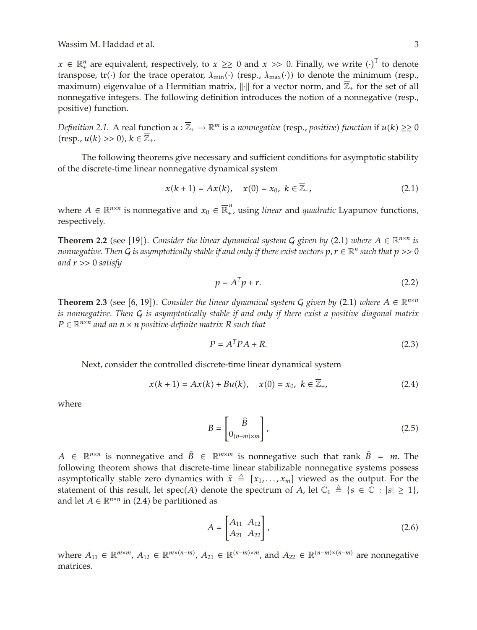*x* ∈  $\mathbb{R}^n_+$  are equivalent, respectively, to *x* ≥≥ 0 and *x* >> 0. Finally, we write  $(\cdot)^T$  to denote transpose, tr(·) for the trace operator,  $\lambda_{min}(\cdot)$  (resp.,  $\lambda_{max}(\cdot)$ ) to denote the minimum (resp., maximum) eigenvalue of a Hermitian matrix,  $\|\cdot\|$  for a vector norm, and  $\overline{\mathbb{Z}}_+$  for the set of all nonnegative integers. The following definition introduces the notion of a nonnegative (resp., positive) function.

*Definition 2.1.* A real function  $u : \overline{\mathbb{Z}}_+ \to \mathbb{R}^m$  is a *nonnegative* (resp., *positive*) function if  $u(k) \ge 0$  $(resp, u(k) \gg 0), k \in \overline{\mathbb{Z}}_+.$ 

The following theorems give necessary and sufficient conditions for asymptotic stability of the discrete-time linear nonnegative dynamical system

$$
x(k+1) = Ax(k), \quad x(0) = x_0, \ k \in \overline{\mathbb{Z}}_+, \tag{2.1}
$$

where  $A \in \mathbb{R}^{n \times n}$  is nonnegative and  $x_0 \in \overline{\mathbb{R}}_+^n$ , using *linear* and *quadratic* Lyapunov functions, respectively.

**Theorem 2.2** (see [19]). Consider the linear dynamical system G given by (2.1) where  $A \in \mathbb{R}^{n \times n}$  is *nonnegative. Then* G *is asymptotically stable if and only if there exist vectors*  $p, r \in \mathbb{R}^n$  *such that*  $p \gg 0$ *and r >>* 0 *satisfy*

$$
p = A^T p + r. \tag{2.2}
$$

**Theorem 2.3** (see [6, 19]). *Consider the linear dynamical system G given by* (2.1) *where*  $A \in \mathbb{R}^{n \times n}$ *is nonnegative. Then* G *is asymptotically stable if and only if there exist a positive diagonal matrix*  $P \in \mathbb{R}^{n \times n}$  *and an*  $n \times n$  *positive-definite matrix*  $R$  *such that* 

$$
P = A^T P A + R. \tag{2.3}
$$

Next, consider the controlled discrete-time linear dynamical system

$$
x(k+1) = Ax(k) + Bu(k), \quad x(0) = x_0, \ k \in \overline{\mathbb{Z}}_+, \tag{2.4}
$$

where

$$
B = \begin{bmatrix} \widehat{B} \\ 0_{(n-m)\times m} \end{bmatrix},
$$
\n(2.5)

*A* ∈  $\mathbb{R}^{n \times n}$  is nonnegative and  $\widehat{B}$  ∈  $\mathbb{R}^{m \times m}$  is nonnegative such that rank  $\widehat{B}$  = *m*. The following theorem shows that discrete-time linear stabilizable nonnegative systems possess asymptotically stable zero dynamics with  $\hat{x} \triangleq [x_1, \ldots, x_m]$  viewed as the output. For the statement of this result let spec(A) denote the spectrum of A let  $\overline{C}$ ,  $\triangleq$  ( $c \in \mathbb{C}$ ) let  $> 1$ ) statement of this result, let spec(*A*) denote the spectrum of *A*, let  $\overline{C}_1 \triangleq \{s \in \overline{C} : |s| \geq 1\}$ , and let *A*  $\in \mathbb{R}^{n \times n}$  in (2.4) be partitioned as

$$
A = \begin{bmatrix} A_{11} & A_{12} \\ A_{21} & A_{22} \end{bmatrix},
$$
 (2.6)

where  $A_{11} \in \mathbb{R}^{m \times m}$ ,  $A_{12} \in \mathbb{R}^{m \times (n-m)}$ ,  $A_{21} \in \mathbb{R}^{(n-m)\times m}$ , and  $A_{22} \in \mathbb{R}^{(n-m)\times (n-m)}$  are nonnegative matrices.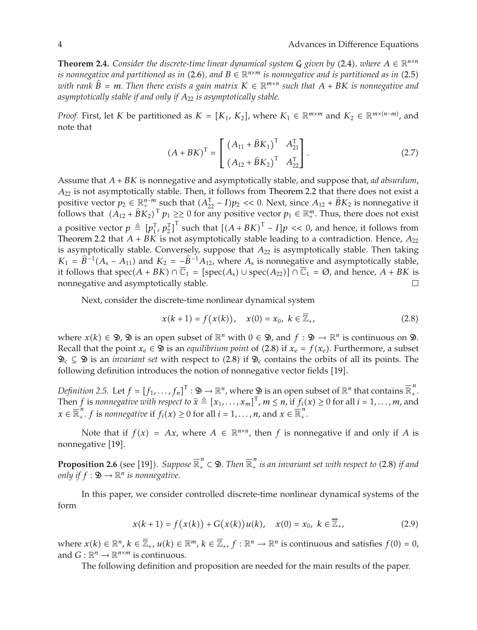**Theorem 2.4.** *Consider the discrete-time linear dynamical system G given by (2.4), where*  $A \in \mathbb{R}^{n \times n}$ *is nonnegative and partitioned as in* (2.6), and  $B \in \mathbb{R}^{n \times m}$  *is nonnegative and is partitioned as in* (2.5) *with rank*  $\widehat{B} = m$ *. Then there exists a gain matrix*  $K \in \mathbb{R}^{m \times n}$  *such that*  $A + BK$  *is nonnegative and asymptotically stable if and only if A*<sup>22</sup> *is asymptotically stable.*

*Proof.* First, let *K* be partitioned as  $K = [K_1, K_2]$ , where  $K_1 \in \mathbb{R}^{m \times m}$  and  $K_2 \in \mathbb{R}^{m \times (n-m)}$ , and note that

$$
(A + BK)^{T} = \begin{bmatrix} (A_{11} + \hat{B}K_{1})^{T} & A_{21}^{T} \\ (A_{12} + \hat{B}K_{2})^{T} & A_{22}^{T} \end{bmatrix}.
$$
 (2.7)

Assume that  $A + BK$  is nonnegative and asymptotically stable, and suppose that, *ad absurdum*, *A*<sup>22</sup> is not asymptotically stable. Then, it follows from Theorem 2.2 that there does not exist a positive vector  $p_2 \in \mathbb{R}^{n-m}_{++}$  such that  $(A_{22}^T - I)p_2 \ll 0$ . Next, since  $A_{12} + \widehat{B}K_2$  is nonnegative it follows that  $(A_{12} + \widehat{B}K_2)^T p_1 \geq 0$  for any positive vector  $p_1 \in \mathbb{R}^m_+$ . Thus, there does not exist a positive vector  $p \triangleq [p_1^T, p_2^T]^T$  such that  $[(A+BK)^T - I]p \ll 0$ , and hence, it follows from Theorem 2.2 that  $A + BK$  is not asymptotically stable leading to a contradiction. Hence,  $A_{22}$ is asymptotically stable. Conversely, suppose that  $A_{22}$  is asymptotically stable. Then taking  $K_1 = \hat{B}^{-1}(A_s - A_{11})$  and  $K_2 = -\hat{B}^{-1}A_{12}$ , where  $A_s$  is nonnegative and asymptotically stable, it follows that  $spec(A + BK) \cap \overline{\mathbb{C}}_1 = [spec(A_s) \cup spec(A_{22})] \cap \overline{\mathbb{C}}_1 = \emptyset$ , and hence, *A* + *BK* is nonnegative and asymptotically stable. □ nonnegative and asymptotically stable.

Next, consider the discrete-time nonlinear dynamical system

$$
x(k+1) = f(x(k)), \quad x(0) = x_0, \ k \in \overline{\mathbb{Z}}_+, \tag{2.8}
$$

where  $x(k) \in \mathcal{D}$ ,  $\mathcal{D}$  is an open subset of  $\mathbb{R}^n$  with  $0 \in \mathcal{D}$ , and  $f : \mathcal{D} \to \mathbb{R}^n$  is continuous on  $\mathcal{D}$ . Recall that the point  $x_e \in \mathcal{D}$  is an *equilibrium point* of (2.8) if  $x_e = f(x_e)$ . Furthermore, a subset  $\mathfrak{D}_c \subseteq \mathfrak{D}$  is an *invariant set* with respect to (2.8) if  $\mathfrak{D}_c$  contains the orbits of all its points. The following definition introduces the notion of nonnegative vector fields [19].

*Definition 2.5.* Let  $f = [f_1, \ldots, f_n]^T : \mathfrak{D} \to \mathbb{R}^n$ , where  $\mathfrak{D}$  is an open subset of  $\mathbb{R}^n$  that contains  $\overline{\mathbb{R}}_+^n$ . Then *f* is *nonnegative with respect to*  $\hat{x} \triangleq [x_1, \ldots, x_m]^T$ ,  $m \le n$ , if  $f_i(x) \ge 0$  for all  $i = 1, \ldots, m$ , and  $\sum_{n=1}^{\infty} \sum_{i=1}^{n} f_i(x)$  $x \in \overline{\mathbb{R}}_+^n$ . *f* is *nonnegative* if  $f_i(x) \ge 0$  for all  $i = 1, ..., n$ , and  $x \in \overline{\mathbb{R}}_+^n$ .

Note that if  $f(x) = Ax$ , where  $A \in \mathbb{R}^{n \times n}$ , then f is nonnegative if and only if A is nonnegative [19].

**Proposition 2.6** (see [19]). *Suppose*  $\overline{\mathbb{R}}_+^n \subset \mathfrak{D}$ . Then  $\overline{\mathbb{R}}_+^n$  is an invariant set with respect to (2.8) if and only if  $f : \mathfrak{D} \to \mathbb{P}^n$  is nonnegative. *only if*  $f : \mathfrak{D} \to \mathbb{R}^n$  *is nonnegative.* 

In this paper, we consider controlled discrete-time nonlinear dynamical systems of the form

$$
x(k+1) = f(x(k)) + G(x(k))u(k), \quad x(0) = x_0, \ k \in \overline{\mathbb{Z}}_+, \tag{2.9}
$$

where  $x(k) \in \mathbb{R}^n$ ,  $k \in \mathbb{Z}_+$ ,  $u(k) \in \mathbb{R}^m$ ,  $k \in \mathbb{Z}_+$ ,  $f: \mathbb{R}^n \to \mathbb{R}^n$  is continuous and satisfies  $f(0) = 0$ , and  $G : \mathbb{R}^n \to \mathbb{R}^{n \times m}$  is continuous.

The following definition and proposition are needed for the main results of the paper.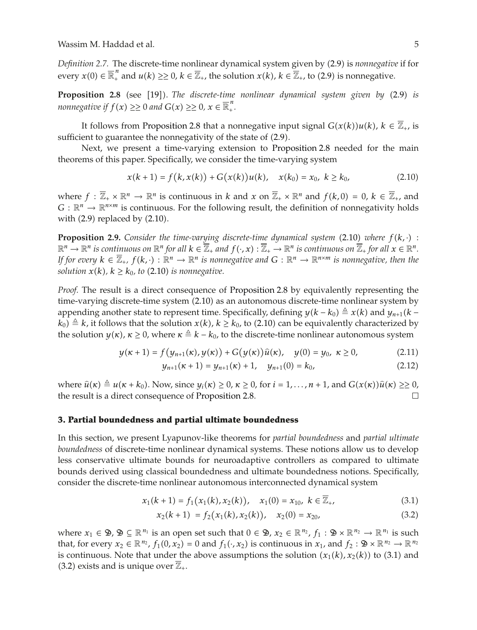*Definition 2.7.* The discrete-time nonlinear dynamical system given by 2.9 is *nonnegative* if for every  $x(0) \in \overline{\mathbb{R}}_+^n$  and  $u(k) \geq 0$ ,  $k \in \overline{\mathbb{Z}}_+$ , the solution  $x(k)$ ,  $k \in \overline{\mathbb{Z}}_+$ , to (2.9) is nonnegative.

**Proposition 2.8** (see [19]). The discrete-time nonlinear dynamical system given by (2.9) is *nonnegative if*  $f(x) \ge 0$  *and*  $G(x) \ge 0$ ,  $x \in \overline{\mathbb{R}}_+^n$ .

It follows from Proposition 2.8 that a nonnegative input signal *G* $(x(k))u(k)$ ,  $k \in \overline{\mathbb{Z}}_+$ , is sufficient to guarantee the nonnegativity of the state of  $(2.9)$ .

Next, we present a time-varying extension to Proposition 2.8 needed for the main theorems of this paper. Specifically, we consider the time-varying system

$$
x(k+1) = f(k, x(k)) + G(x(k))u(k), \quad x(k_0) = x_0, \ k \ge k_0,
$$
 (2.10)

where  $f : \overline{\mathbb{Z}}_+ \times \mathbb{R}^n \to \mathbb{R}^n$  is continuous in *k* and  $x$  on  $\overline{\mathbb{Z}}_+ \times \mathbb{R}^n$  and  $f(k,0) = 0$ ,  $k \in \overline{\mathbb{Z}}_+$ , and  $G: \mathbb{R}^n \to \mathbb{R}^{n \times m}$  is continuous. For the following result, the definition of nonnegativity holds with  $(2.9)$  replaced by  $(2.10)$ .

**Proposition 2.9.** Consider the time-varying discrete-time dynamical system (2.10) where  $f(k, \cdot)$  :  $\mathbb{R}^n \to \mathbb{R}^n$  *is continuous on*  $\mathbb{R}^n$  *for all*  $k \in \mathbb{Z}_+$  *and*  $f(\cdot, x) : \mathbb{Z}_+ \to \mathbb{R}^n$  *is continuous on*  $\mathbb{Z}_+$  *for all*  $x \in \mathbb{R}^n$ *. If for every*  $k \in \mathbb{Z}_+$ ,  $f(k, \cdot) : \mathbb{R}^n \to \mathbb{R}^n$  *is nonnegative and*  $G : \mathbb{R}^n \to \mathbb{R}^{n \times m}$  *is nonnegative, then the solution*  $x(k)$ ,  $k \geq k_0$ , to (2.10) *is nonnegative.* 

*Proof.* The result is a direct consequence of Proposition 2.8 by equivalently representing the time-varying discrete-time system (2.10) as an autonomous discrete-time nonlinear system by appending another state to represent time. Specifically, defining  $y(k - k_0) \triangleq x(k)$  and  $y_{n+1}(k - k_0)$  $(k_0) \triangleq k$ , it follows that the solution  $x(k)$ ,  $k \geq k_0$ , to (2.10) can be equivalently characterized by the solution  $y(\kappa)$ ,  $\kappa \ge 0$ , where  $\kappa \triangleq k - k_0$ , to the discrete-time nonlinear autonomous system

$$
y(\kappa + 1) = f(y_{n+1}(\kappa), y(\kappa)) + G(y(\kappa))\hat{u}(\kappa), \quad y(0) = y_0, \ \kappa \ge 0,
$$
 (2.11)

$$
y_{n+1}(\kappa+1) = y_{n+1}(\kappa) + 1, \quad y_{n+1}(0) = k_0,
$$
\n(2.12)

where  $\hat{u}(\kappa) \triangleq u(\kappa + k_0)$ . Now, since  $y_i(\kappa) \geq 0$ ,  $\kappa \geq 0$ , for  $i = 1, ..., n + 1$ , and  $G(x(\kappa))\hat{u}(\kappa) \geq 0$ , the result is a direct consequence of Proposition 2.8 the result is a direct consequence of Proposition 2.8.

# **3. Partial boundedness and partial ultimate boundedness**

In this section, we present Lyapunov-like theorems for *partial boundedness* and *partial ultimate boundedness* of discrete-time nonlinear dynamical systems. These notions allow us to develop less conservative ultimate bounds for neuroadaptive controllers as compared to ultimate bounds derived using classical boundedness and ultimate boundedness notions. Specifically, consider the discrete-time nonlinear autonomous interconnected dynamical system

$$
x_1(k+1) = f_1(x_1(k), x_2(k)), \quad x_1(0) = x_{10}, \ k \in \overline{\mathbb{Z}}_+, \tag{3.1}
$$

$$
x_2(k+1) = f_2(x_1(k), x_2(k)), \quad x_2(0) = x_{20}, \tag{3.2}
$$

where  $x_1 \in \mathcal{D}, \mathcal{D} \subseteq \mathbb{R}^{n_1}$  is an open set such that  $0 \in \mathcal{D}, x_2 \in \mathbb{R}^{n_2}, f_1 : \mathcal{D} \times \mathbb{R}^{n_2} \to \mathbb{R}^{n_1}$  is such that, for every  $x_2 \in \mathbb{R}^{n_2}$ ,  $f_1(0, x_2) = 0$  and  $f_1(\cdot, x_2)$  is continuous in  $x_1$ , and  $f_2 : \mathfrak{D} \times \mathbb{R}^{n_2} \to \mathbb{R}^{n_2}$ is continuous. Note that under the above assumptions the solution  $(x_1(k), x_2(k))$  to (3.1) and (3.2) exists and is unique over  $\overline{\mathbb{Z}}_+$ .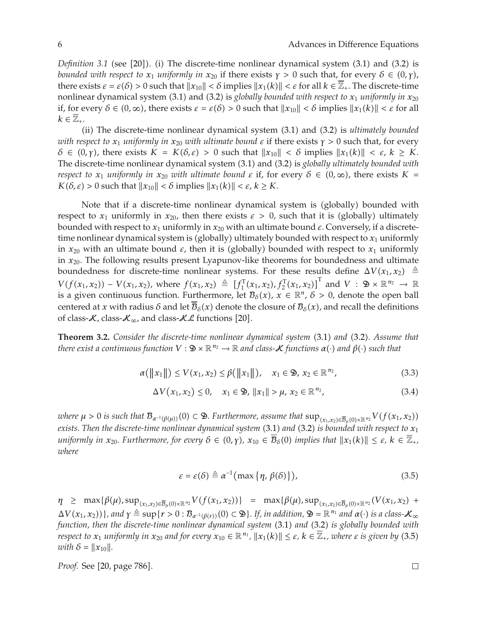*Definition 3.1* (see  $[20]$ ). (i) The discrete-time nonlinear dynamical system  $(3.1)$  and  $(3.2)$  is *bounded with respect to*  $x_1$  *uniformly in*  $x_{20}$  if there exists  $\gamma > 0$  such that, for every  $\delta \in (0, \gamma)$ , there exists  $\varepsilon = \varepsilon(\delta) > 0$  such that  $||x_{10}|| < \delta$  implies  $||x_1(k)|| < \varepsilon$  for all  $k \in \mathbb{Z}_+$ . The discrete-time nonlinear dynamical system (3.1) and (3.2) is *globally bounded with respect to*  $x_1$  *uniformly in*  $x_{20}$ if, for every  $\delta \in (0, \infty)$ , there exists  $\varepsilon = \varepsilon(\delta) > 0$  such that  $||x_{10}|| < \delta$  implies  $||x_1(k)|| < \varepsilon$  for all  $k \in \mathbb{Z}_+$ .

(ii) The discrete-time nonlinear dynamical system  $(3.1)$  and  $(3.2)$  is *ultimately bounded with respect to*  $x_1$  *uniformly in*  $x_{20}$  *with ultimate bound*  $\varepsilon$  if there exists  $\gamma > 0$  such that, for every  $\delta \in (0, \gamma)$ , there exists  $K = K(\delta, \varepsilon) > 0$  such that  $||x_{10}|| < \delta$  implies  $||x_1(k)|| < \varepsilon$ ,  $k \geq K$ . The discrete-time nonlinear dynamical system 3.1 and 3.2 is *globally ultimately bounded with respect to*  $x_1$  *uniformly in*  $x_{20}$  *with ultimate bound*  $\varepsilon$  if, for every  $\delta \in (0, \infty)$ , there exists K =  $K(\delta, \varepsilon) > 0$  such that  $||x_{10}|| < \delta$  implies  $||x_1(k)|| < \varepsilon$ ,  $k \geq K$ .

Note that if a discrete-time nonlinear dynamical system is globally bounded with respect to  $x_1$  uniformly in  $x_{20}$ , then there exists  $\varepsilon > 0$ , such that it is (globally) ultimately bounded with respect to  $x_1$  uniformly in  $x_{20}$  with an ultimate bound  $\varepsilon$ . Conversely, if a discretetime nonlinear dynamical system is (globally) ultimately bounded with respect to  $x_1$  uniformly in  $x_{20}$  with an ultimate bound  $\varepsilon$ , then it is (globally) bounded with respect to  $x_1$  uniformly in *x*20. The following results present Lyapunov-like theorems for boundedness and ultimate boundedness for discrete-time nonlinear systems. For these results define  $\Delta V(x_1, x_2) \triangleq$ *V*(*f*(*x*<sub>1</sub>*, x*<sub>2</sub>)) − *V*(*x*<sub>1</sub>*, x*<sub>2</sub>), where *f*(*x*<sub>1</sub>*, x*<sub>2</sub>)  $\triangleq$  [*f*<sub>1</sub><sup>T</sup>(*x*<sub>1</sub>*, x*<sub>2</sub>), *f*<sub>2</sub><sup>T</sup>(*x*<sub>1</sub>*, x*<sub>2</sub>)]<sup>T</sup> and *V* :  $\mathfrak{D} \times \mathbb{R}^{n_2} \to \mathbb{R}$ is a given continuous function. Furthermore, let  $\mathcal{B}_{\delta}(x)$ ,  $x \in \mathbb{R}^n$ ,  $\delta > 0$ , denote the open ball centered at *x* with radius *δ* and let  $\mathcal{B}_{\delta}(x)$  denote the closure of  $\mathcal{B}_{\delta}(x)$ , and recall the definitions of class- $K$ , class- $K_{\infty}$ , and class- $K\mathcal{L}$  functions [20].

**Theorem 3.2.** *Consider the discrete-time nonlinear dynamical system* 3.1 *and* 3.2*. Assume that there exist a continuous function*  $V : \mathfrak{D} \times \mathbb{R}^{n_2} \to \mathbb{R}$  *and class-K functions*  $\alpha(\cdot)$  *and*  $\beta(\cdot)$  *such that* 

$$
\alpha(\|x_1\|) \le V(x_1, x_2) \le \beta(\|x_1\|), \quad x_1 \in \mathfrak{D}, x_2 \in \mathbb{R}^{n_2}, \tag{3.3}
$$

$$
\Delta V(x_1, x_2) \le 0, \quad x_1 \in \mathfrak{D}, \ \|x_1\| > \mu, \ x_2 \in \mathbb{R}^{n_2}, \tag{3.4}
$$

*where*  $\mu > 0$  *is such that*  $\mathcal{B}_{\alpha^{-1}(\beta(\mu))}(0) \subset \mathfrak{D}$ *. Furthermore, assume that*  $\sup_{(x_1, x_2) \in \overline{\mathcal{B}}_{\mu}(0) \times \mathbb{R}^{n_2}} V(f(x_1, x_2))$ *exists. Then the discrete-time nonlinear dynamical system*  $(3.1)$  *and*  $(3.2)$  *is bounded with respect to*  $x_1$ *uniformly in*  $x_{20}$ *. Furthermore, for every*  $\delta \in (0, \gamma)$ *,*  $x_{10} \in \overline{B}_\delta(0)$  *implies that*  $||x_1(k)|| \leq \varepsilon$ *,*  $k \in \overline{\mathbb{Z}}_+$ *, where*

$$
\varepsilon = \varepsilon(\delta) \triangleq \alpha^{-1} \left( \max \left\{ \eta, \beta(\delta) \right\} \right),\tag{3.5}
$$

 $\eta \geq \max{\{\beta(\mu), \sup_{(x_1, x_2) \in \overline{B}_{\mu}(0) \times \mathbb{R}^{n_2}} V(f(x_1, x_2))\}} = \max{\{\beta(\mu), \sup_{(x_1, x_2) \in \overline{B}_{\mu}(0) \times \mathbb{R}^{n_2}} (V(x_1, x_2) + \overline{B}_{\mu}(0) \times \mathbb{R}^{n_2})\}}$  $\Delta V(x_1, x_2)$ }, and  $\gamma \triangleq \sup\{r > 0 : B_{\alpha^{-1}(\beta(r))}(0) \subset \mathfrak{B}\}\.$  If, in addition,  $\mathfrak{B} = \mathbb{R}^{n_1}$  and  $\alpha(\cdot)$  is a class- $\mathcal{K}_{\infty}$ *function, then the discrete-time nonlinear dynamical system* (3.1) and (3.2) *is globally bounded with respect to*  $x_1$  *uniformly in*  $x_{20}$  *and for every*  $x_{10} \in \mathbb{R}^{n_1}$ ,  $||x_1(k)|| \leq \varepsilon$ ,  $k \in \mathbb{Z}_+$ , where  $\varepsilon$  *is given by* (3.5) *with*  $\delta = ||x_{10}||$ .

*Proof.* See [20, page 786].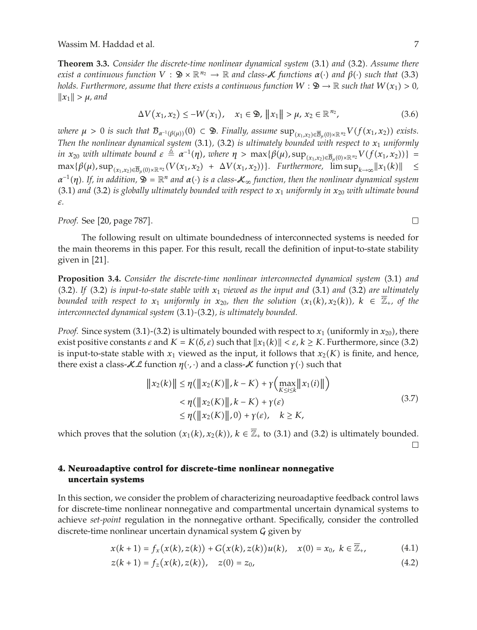**Theorem 3.3.** *Consider the discrete-time nonlinear dynamical system* 3.1 *and* 3.2*. Assume there exist a continuous function*  $V : \mathfrak{D} \times \mathbb{R}^{n_2} \to \mathbb{R}$  *and class-K functions*  $\alpha(\cdot)$  *and*  $\beta(\cdot)$  *such that* (3.3) *holds. Furthermore, assume that there exists a continuous function*  $W : \mathfrak{D} \to \mathbb{R}$  *such that*  $W(x_1) > 0$ *,*  $\|x_1\| > \mu$ , and

$$
\Delta V(x_1, x_2) \le -W(x_1), \quad x_1 \in \mathfrak{B}, \, \|x_1\| > \mu, \, x_2 \in \mathbb{R}^{n_2}, \tag{3.6}
$$

*where*  $\mu > 0$  *is such that*  $\mathcal{B}_{\alpha^{-1}(\beta(\mu))}(0) \subset \mathfrak{D}$ . Finally, assume  $\sup_{(x_1, x_2) \in \overline{\mathcal{B}}_{\mu}(0) \times \mathbb{R}^{n_2}} V(f(x_1, x_2))$  exists. *Then the nonlinear dynamical system* (3.1), (3.2) *is ultimately bounded with respect to*  $x_1$  *uniformly in*  $x_{20}$  *with ultimate bound*  $\varepsilon \triangleq \alpha^{-1}(\eta)$ , *where*  $\eta > \max{\{\beta(\mu), \sup_{(x_1, x_2) \in \overline{B}_\mu(0) \times \mathbb{R}^{n_2}} V(f(x_1, x_2))\}}$  $\max{\{\beta(\mu), \sup_{(x_1, x_2) \in \overline{B}_\mu(0) \times \mathbb{R}^{n_2}} (V(x_1, x_2) + \Delta V(x_1, x_2))\}}$ . Furthermore,  $\limsup_{k \to \infty} ||x_1(k)|| \leq$  $\alpha^{-1}(\eta)$ . If, in addition,  $\mathfrak{D} = \mathbb{R}^n$  and  $\alpha(\cdot)$  is a class- $\mathcal{K}_{\infty}$  function, then the nonlinear dynamical system  $(3.1)$  and  $(3.2)$  is globally ultimately bounded with respect to  $x_1$  uniformly in  $x_{20}$  with ultimate bound *ε.*

*Proof.* See [20, page 787].

The following result on ultimate boundedness of interconnected systems is needed for the main theorems in this paper. For this result, recall the definition of input-to-state stability given in  $[21]$ .

**Proposition 3.4.** *Consider the discrete-time nonlinear interconnected dynamical system* (3.1) *and*  $(3.2)$ *. If*  $(3.2)$  *is input-to-state stable with*  $x_1$  *viewed as the input and*  $(3.1)$  *and*  $(3.2)$  *are ultimately bounded with respect to*  $x_1$  *uniformly in*  $x_{20}$ *, then the solution*  $(x_1(k), x_2(k))$ *,*  $k \in \mathbb{Z}_+$ *, of the interconnected dynamical system* (3.1)-(3.2), *is ultimately bounded.* 

*Proof.* Since system  $(3.1)-(3.2)$  is ultimately bounded with respect to  $x_1$  (uniformly in  $x_{20}$ ), there exist positive constants  $\varepsilon$  and  $K = K(\delta, \varepsilon)$  such that  $||x_1(k)|| < \varepsilon$ ,  $k \ge K$ . Furthermore, since (3.2) is input-to-state stable with  $x_1$  viewed as the input, it follows that  $x_2(K)$  is finite, and hence, there exist a class- $KL$  function  $\eta(\cdot, \cdot)$  and a class- $K$  function  $\gamma(\cdot)$  such that

$$
||x_2(k)|| \le \eta(||x_2(K)||, k - K) + \gamma \Big( \max_{K \le i \le k} ||x_1(i)|| \Big) < \eta(||x_2(K)||, k - K) + \gamma(\varepsilon) \le \eta(||x_2(K)||, 0) + \gamma(\varepsilon), \quad k \ge K,
$$
 (3.7)

which proves that the solution  $(x_1(k), x_2(k))$ ,  $k \in \overline{\mathbb{Z}}_+$  to (3.1) and (3.2) is ultimately bounded.

# **4. Neuroadaptive control for discrete-time nonlinear nonnegative uncertain systems**

In this section, we consider the problem of characterizing neuroadaptive feedback control laws for discrete-time nonlinear nonnegative and compartmental uncertain dynamical systems to achieve *set-point* regulation in the nonnegative orthant. Specifically, consider the controlled discrete-time nonlinear uncertain dynamical system  $G$  given by

$$
x(k+1) = f_x(x(k), z(k)) + G(x(k), z(k))u(k), \quad x(0) = x_0, \ k \in \overline{\mathbb{Z}}_+, \tag{4.1}
$$

$$
z(k+1) = f_z(x(k), z(k)), \quad z(0) = z_0,
$$
\n(4.2)

 $\Box$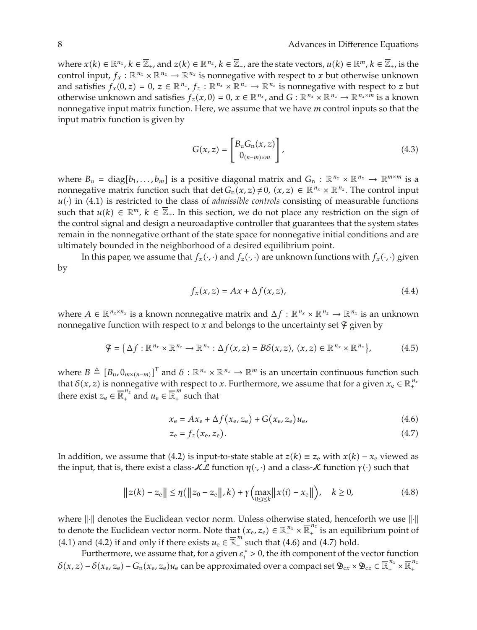where  $x(k) \in \mathbb{R}^{n_x}$ ,  $k \in \overline{\mathbb{Z}}_+$ , and  $z(k) \in \mathbb{R}^{n_z}$ ,  $k \in \overline{\mathbb{Z}}_+$ , are the state vectors,  $u(k) \in \mathbb{R}^m$ ,  $k \in \overline{\mathbb{Z}}_+$ , is the control input,  $f_x : \mathbb{R}^{n_x} \times \mathbb{R}^{n_z} \to \mathbb{R}^{n_x}$  is nonnegative with respect to *x* but otherwise unknown and satisfies  $f_x(0, z) = 0$ ,  $z \in \mathbb{R}^{n_z}$ ,  $f_z : \mathbb{R}^{n_x} \times \mathbb{R}^{n_z} \to \mathbb{R}^{n_z}$  is nonnegative with respect to *z* but otherwise unknown and satisfies  $f_z(x, 0) = 0$ ,  $x \in \mathbb{R}^{n_x}$ , and  $G : \mathbb{R}^{n_x} \times \mathbb{R}^{n_z} \to \mathbb{R}^{n_x \times m}$  is a known nonnegative input matrix function. Here, we assume that we have *m* control inputs so that the input matrix function is given by

$$
G(x,z) = \begin{bmatrix} B_{\rm u}G_{\rm n}(x,z) \\ 0_{(n-m)\times m} \end{bmatrix},
$$
\n(4.3)

where  $B_u = \text{diag}[b_1, \ldots, b_m]$  is a positive diagonal matrix and  $G_n : \mathbb{R}^{n_x} \times \mathbb{R}^{n_z} \to \mathbb{R}^{m \times m}$  is a nonnegative matrix function such that det  $G_n(x, z) \neq 0$ ,  $(x, z) \in \mathbb{R}^{n_x} \times \mathbb{R}^{n_z}$ . The control input  $u(\cdot)$  in (4.1) is restricted to the class of *admissible controls* consisting of measurable functions such that  $u(k) \in \mathbb{R}^m$ ,  $k \in \mathbb{Z}_+$ . In this section, we do not place any restriction on the sign of the control signal and design a neuroadaptive controller that guarantees that the system states remain in the nonnegative orthant of the state space for nonnegative initial conditions and are ultimately bounded in the neighborhood of a desired equilibrium point.

In this paper, we assume that  $f_x(\cdot, \cdot)$  and  $f_z(\cdot, \cdot)$  are unknown functions with  $f_x(\cdot, \cdot)$  given by

$$
f_x(x, z) = Ax + \Delta f(x, z), \qquad (4.4)
$$

where  $A \in \mathbb{R}^{n_x \times n_x}$  is a known nonnegative matrix and  $\Delta f : \mathbb{R}^{n_x} \times \mathbb{R}^{n_z} \to \mathbb{R}^{n_x}$  is an unknown nonnegative function with respect to  $x$  and belongs to the uncertainty set  $\varphi$  given by

$$
\mathcal{F} = \left\{ \Delta f : \mathbb{R}^{n_x} \times \mathbb{R}^{n_z} \to \mathbb{R}^{n_x} : \Delta f(x, z) = B\delta(x, z), (x, z) \in \mathbb{R}^{n_x} \times \mathbb{R}^{n_z} \right\},\tag{4.5}
$$

where  $B \triangleq [B_u, 0_{m \times (n-m)}]^T$  and  $\delta : \mathbb{R}^{n_x} \times \mathbb{R}^{n_z} \to \mathbb{R}^m$  is an uncertain continuous function such that  $\delta(x, z)$  is nonnegative with respect to *x*. Furthermore, we assume that for a given  $x_e \in \mathbb{R}^{n_x}$ there exist  $z_e \in \overline{\mathbb{R}}_+^{n_z}$  and  $u_e \in \overline{\mathbb{R}}_+^m$  such that

$$
x_{e} = Ax_{e} + \Delta f(x_{e}, z_{e}) + G(x_{e}, z_{e})u_{e}, \qquad (4.6)
$$

$$
z_{\rm e} = f_z(x_{\rm e}, z_{\rm e}).\tag{4.7}
$$

In addition, we assume that (4.2) is input-to-state stable at  $z(k) \equiv z_e$  with  $x(k) - x_e$  viewed as the input, that is, there exist a class- $\mathcal{KL}$  function  $\eta(\cdot,\cdot)$  and a class- $\mathcal{K}$  function  $\gamma(\cdot)$  such that

$$
||z(k) - z_e|| \le \eta(||z_0 - z_e||, k) + \gamma \Big( \max_{0 \le i \le k} ||x(i) - x_e|| \Big), \quad k \ge 0,
$$
\n(4.8)

where  $\lVert \cdot \rVert$  denotes the Euclidean vector norm. Unless otherwise stated, henceforth we use  $\lVert \cdot \rVert$ to denote the Euclidean vector norm. Note that  $(x_e, z_e) \in \mathbb{R}_+^{n_x} \times \overline{\mathbb{R}}_+^{n_z}$  is an equilibrium point of (4.1) and (4.2) if and only if there exists  $u_e \in \overline{\mathbb{R}}_+^m$  such that (4.6) and (4.7) hold.

Furthermore, we assume that, for a given  $\varepsilon_i^* > 0$ , the *i*th component of the vector function  $\delta(x, z) - \delta(x_e, z_e) - G_n(x_e, z_e)u_e$  can be approximated over a compact set  $\mathfrak{D}_{cx} \times \mathfrak{D}_{cz} \subset \overline{\mathbb{R}}_+^{n_x} \times \overline{\mathbb{R}}_+^{n_z}$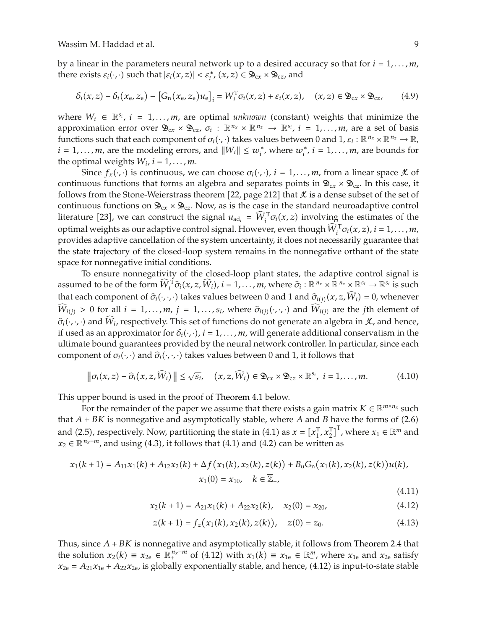by a linear in the parameters neural network up to a desired accuracy so that for  $i = 1, \ldots, m$ , there exists  $\varepsilon_i(\cdot,\cdot)$  such that  $|\varepsilon_i(x,z)| < \varepsilon_i^*$ ,  $(x,z) \in \mathfrak{D}_{cx} \times \mathfrak{D}_{cz}$ , and

$$
\delta_i(x, z) - \delta_i(x_e, z_e) - \left[G_n(x_e, z_e)u_e\right]_i = W_i^{\mathrm{T}}\sigma_i(x, z) + \varepsilon_i(x, z), \quad (x, z) \in \mathfrak{D}_{cx} \times \mathfrak{D}_{cz}, \tag{4.9}
$$

where  $W_i \in \mathbb{R}^{s_i}$ ,  $i = 1, ..., m$ , are optimal *unknown* (constant) weights that minimize the approximation error over  $\mathfrak{D}_{cx} \times \mathfrak{D}_{cz}$ ,  $\sigma_i : \mathbb{R}^{n_x} \times \mathbb{R}^{n_z} \to \mathbb{R}^{s_i}$ ,  $i = 1,...,m$ , are a set of basis functions such that each component of  $\sigma_i(\cdot,\cdot)$  takes values between 0 and 1,  $\varepsilon_i : \mathbb{R}^{n_x} \times \mathbb{R}^{n_z} \to \mathbb{R}$ ,  $i = 1, \ldots, m$ , are the modeling errors, and  $||W_i|| \leq w_i^*$ , where  $w_i^*$ ,  $i = 1, \ldots, m$ , are bounds for the optimal weights  $W_i$ ,  $i = 1, \ldots, m$ .

Since  $f_x(\cdot, \cdot)$  is continuous, we can choose  $\sigma_i(\cdot, \cdot)$ ,  $i = 1, \ldots, m$ , from a linear space  $\mathcal{K}$  of continuous functions that forms an algebra and separates points in  $\mathcal{D}_{cx} \times \mathcal{D}_{cz}$ . In this case, it follows from the Stone-Weierstrass theorem [22, page 212] that  $\chi$  is a dense subset of the set of continuous functions on  $\mathcal{D}_{cx} \times \mathcal{D}_{cz}$ . Now, as is the case in the standard neuroadaptive control literature [23], we can construct the signal  $u_{ad_i} = \widehat{W}_i^T \sigma_i(x, z)$  involving the estimates of the optimal weights as our adaptive control signal. However, even though  $W_i^{\mathsf{T}}\sigma_i(x, z)$ ,  $i = 1, ..., m$ , provides adaptive cancellation of the system uncertainty, it does not necessarily guarantee that the state trajectory of the closed-loop system remains in the nonnegative orthant of the state space for nonnegative initial conditions.

To ensure nonnegativity of the closed-loop plant states, the adaptive control signal is assumed to be of the form  $\widehat{W}_i^T \widehat{\sigma}_i(x, z, \widehat{W}_i)$ ,  $i = 1, \ldots, m$ , where  $\widehat{\sigma}_i : \mathbb{R}^{n_x} \times \mathbb{R}^{n_z} \times \mathbb{R}^{s_i} \to \mathbb{R}^{s_i}$  is such that such a surprise that  $\widehat{\sigma}_i^T$ that each component of  $\hat{\sigma}_i(\cdot,\cdot,\cdot)$  takes values between 0 and 1 and  $\hat{\sigma}_{i(i)}(x, z, \hat{W}_i) = 0$ , whenever  $\widehat{W}_{i(j)} > 0$  for all  $i = 1, ..., m$ ,  $j = 1, ..., s_i$ , where  $\widehat{\sigma}_{i(j)}(\cdot, \cdot, \cdot)$  and  $\widehat{W}_{i(j)}$  are the *j*th element of  $\hat{\sigma}_i(\cdot,\cdot,\cdot)$  and  $\hat{W}_i$ , respectively. This set of functions do not generate an algebra in  $\chi$ , and hence, if used as an approximator for  $\delta_i(\cdot, \cdot)$ ,  $i = 1, \ldots, m$ , will generate additional conservatism in the ultimate bound guarantees provided by the neural network controller. In particular, since each component of  $\sigma_i(\cdot, \cdot)$  and  $\hat{\sigma}_i(\cdot, \cdot, \cdot)$  takes values between 0 and 1, it follows that

$$
\left\|\sigma_i(x,z)-\widehat{\sigma}_i(x,z,\widehat{W}_i)\right\| \leq \sqrt{s_i}, \quad (x,z,\widehat{W}_i) \in \mathfrak{B}_{cx} \times \mathfrak{B}_{cz} \times \mathbb{R}^{s_i}, \ i=1,\ldots,m. \tag{4.10}
$$

This upper bound is used in the proof of Theorem 4.1 below.

For the remainder of the paper we assume that there exists a gain matrix  $K \in \mathbb{R}^{m \times n_x}$  such that  $A + BK$  is nonnegative and asymptotically stable, where  $A$  and  $B$  have the forms of (2.6) and (2.5), respectively. Now, partitioning the state in (4.1) as  $x = [x_1^T, x_2^T]^T$ , where  $x_1 \in \mathbb{R}^m$  and  $x_2 \in \mathbb{R}^{n_x - m}$ , and using (4.3), it follows that (4.1) and (4.2) can be written as

$$
x_1(k+1) = A_{11}x_1(k) + A_{12}x_2(k) + \Delta f(x_1(k), x_2(k), z(k)) + B_u G_n(x_1(k), x_2(k), z(k))u(k),
$$
  

$$
x_1(0) = x_{10}, \quad k \in \overline{\mathbb{Z}}_+,
$$

 $(4.11)$ 

$$
x_2(k+1) = A_{21}x_1(k) + A_{22}x_2(k), \quad x_2(0) = x_{20}, \tag{4.12}
$$

$$
z(k+1) = f_z(x_1(k), x_2(k), z(k)), \quad z(0) = z_0.
$$
 (4.13)

Thus, since  $A + BK$  is nonnegative and asymptotically stable, it follows from Theorem 2.4 that the solution  $x_2(k) \equiv x_{2e} \in \mathbb{R}_+^{n_x-m}$  of (4.12) with  $x_1(k) \equiv x_{1e} \in \mathbb{R}_+^m$ , where  $x_{1e}$  and  $x_{2e}$  satisfy  $x_{2e} = A_{21}x_{1e} + A_{22}x_{2e}$ , is globally exponentially stable, and hence, (4.12) is input-to-state stable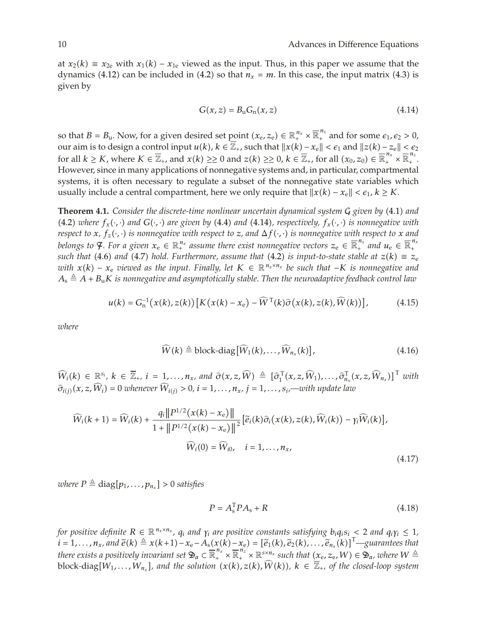at  $x_2(k) \equiv x_{2e}$  with  $x_1(k) - x_{1e}$  viewed as the input. Thus, in this paper we assume that the dynamics (4.12) can be included in (4.2) so that  $n_x = m$ . In this case, the input matrix (4.3) is given by

$$
G(x,z) = BuGn(x,z)
$$
\n(4.14)

so that  $B = B_u$ . Now, for a given desired set point  $(x_e, z_e) \in \mathbb{R}_+^{n_x} \times \overline{\mathbb{R}}_+^{n_z}$  and for some  $\epsilon_1, \epsilon_2 > 0$ , our aim is to design a control input  $u(k)$ ,  $k \in \mathbb{Z}_+$ , such that  $||x(k) - x_{e}|| < \epsilon_1$  and  $||z(k) - z_{e}|| < \epsilon_2$ for all  $k \ge K$ , where  $K \in \overline{\mathbb{Z}}_+$ , and  $x(k) \ge 0$  and  $z(k) \ge 0$ ,  $k \in \overline{\mathbb{Z}}_+$ , for all  $(x_0, z_0) \in \overline{\mathbb{R}}_+^{n_x} \times \overline{\mathbb{R}}_+^{n_z}$ . However, since in many applications of nonnegative systems and, in particular, compartmental systems, it is often necessary to regulate a subset of the nonnegative state variables which usually include a central compartment, here we only require that  $|x(k) - x_e| < \epsilon_1$ ,  $k \ge K$ .

**Theorem 4.1.** *Consider the discrete-time nonlinear uncertain dynamical system* <sup>G</sup> *given by* 4.1 *and* (4.2) where  $f_x(\cdot, \cdot)$  and  $G(\cdot, \cdot)$  are given by (4.4) and (4.14), respectively,  $f_x(\cdot, \cdot)$  is nonnegative with *respect to*  $x$ *,*  $f_z(\cdot, \cdot)$  *is nonnegative with respect to*  $z$ *, and*  $\Delta f(\cdot, \cdot)$  *is nonnegative with respect to*  $x$  *and belongs to*  $\mathcal{F}$ *. For a given*  $x_e \in \mathbb{R}^{n_x}$  assume there exist nonnegative vectors  $z_e \in \overline{\mathbb{R}}^{n_z}$  and  $u_e \in \overline{\mathbb{R}}^{n_x}$ *such that* (4.6) *and* (4.7) *hold. Furthermore, assume that* (4.2) *is input-to-state stable at*  $z(k) = z_e$ *with*  $x(k) - x_e$  *viewed as the input. Finally, let*  $K \in \mathbb{R}^{n_x \times n_x}$  *be such that* −*K is nonnegative and*  $A_{\rm s} \triangleq A + B_{\rm u} K$  is nonnegative and asymptotically stable. Then the neuroadaptive feedback control law

$$
u(k) = G_n^{-1}(x(k), z(k)) \left[ K(x(k) - x_e) - \widehat{W}^{\mathrm{T}}(k) \widehat{\sigma}(x(k), z(k), \widehat{W}(k)) \right],
$$
 (4.15)

*where*

$$
\widehat{W}(k) \triangleq \text{block-diag}[\widehat{W}_1(k), \ldots, \widehat{W}_{n_x}(k)], \qquad (4.16)
$$

 $\widehat{W}_i(k) \in \mathbb{R}^{s_i}, k \in \overline{\mathbb{Z}}_+, i = 1, ..., n_x$ , and  $\widehat{\sigma}(x, z, \widehat{W}) \triangleq [\widehat{\sigma}_1^{\mathrm{T}}(x, z, \widehat{W}_1), ..., \widehat{\sigma}_{n_x}^{\mathrm{T}}(x, z, \widehat{W}_{n_x})]^{\mathrm{T}}$  with  $\hat{\sigma}_{i(j)}(x, z, \widehat{W}_i) = 0$  whenever  $\widehat{W}_{i(j)} > 0$ ,  $i = 1, \ldots, n_x$ ,  $j = 1, \ldots, s_i$ ,—with update law

$$
\widehat{W}_i(k+1) = \widehat{W}_i(k) + \frac{q_i \|P^{1/2}(x(k) - x_e)\|}{1 + \|P^{1/2}(x(k) - x_e)\|^2} \left[\widetilde{e}_i(k)\widehat{\sigma}_i(x(k), z(k), \widehat{W}_i(k)) - \gamma_i \widehat{W}_i(k)\right],
$$
\n
$$
\widehat{W}_i(0) = \widehat{W}_{i0}, \quad i = 1, \dots, n_x,
$$
\n(4.17)

 $where\ P \triangleq \text{diag}[p_1,\ldots,p_{n_\text{x}}]>0$  satisfies

$$
P = A_s^{\mathrm{T}} P A_s + R \tag{4.18}
$$

*for positive definite*  $R \in \mathbb{R}^{n_x \times n_x}$ ,  $q_i$  *and*  $\gamma_i$  *are positive constants satisfying*  $b_i q_i s_i < 2$  *and*  $q_i \gamma_i \leq 1$ ,  $i = 1, ..., n_x$ , and  $\tilde{e}(k) \triangleq x(k+1) - x_e - A_s(x(k) - x_e) = [\tilde{e}_1(k), \tilde{e}_2(k), ..., \tilde{e}_{n_x}(k)]^T$ —guarantees that<br>these victors are interestingly interesting set  $\Omega$ ,  $\overline{\mathbb{R}}^{n_x}$ ,  $\overline{\mathbb{R}}^{n_x}$ ,  $\overline{\mathbb{R}}^{n_x}$ ,  $\overline{\mathbb{R}}^{n_x}$ ,  $\$ *there exists a positively invariant set*  $\mathfrak{D}_{\alpha} \subset \overline{\mathbb{R}}_+^{n_x} \times \overline{\mathbb{R}}_+^{n_z} \times \mathbb{R}^{s \times n_x}$  such that  $(\underline{x}_{e}, \overline{z}_{e}, W) \in \mathfrak{D}_{\alpha}$ , where  $W \triangleq$ block-diag[ $W_1, \ldots, W_{n_x}$ ], and the solution  $(x(k), z(k), \widehat{W}(k))$ ,  $k \in \overline{\mathbb{Z}}_+$ , of the closed-loop system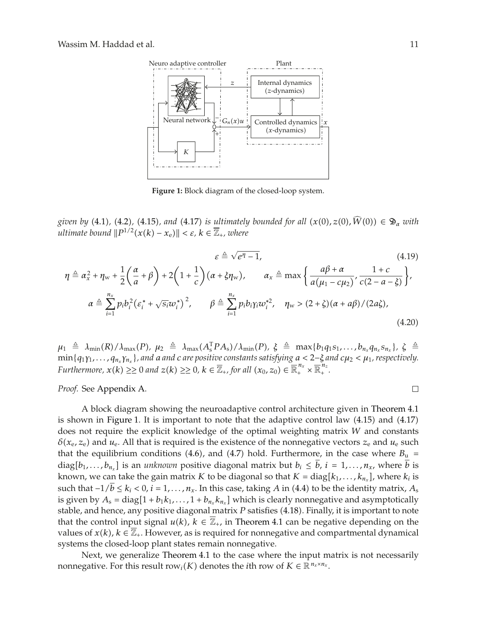

**Figure 1:** Block diagram of the closed-loop system.

*given by* (4.1), (4.2), (4.15), and (4.17) *is ultimately bounded for all*  $(x(0), z(0), \widehat{W}(0)) \in \mathcal{D}_{\alpha}$  *with ultimate bound*  $||P^{1/2}(x(k) - x_e)|| < \varepsilon$ ,  $k \in \mathbb{Z}_+$ , where

$$
\varepsilon \triangleq \sqrt{e^{\eta} - 1},
$$
\n
$$
\eta \triangleq \alpha_x^2 + \eta_w + \frac{1}{2} \left( \frac{\alpha}{a} + \beta \right) + 2 \left( 1 + \frac{1}{c} \right) \left( \alpha + \xi \eta_w \right),
$$
\n
$$
\alpha_x \triangleq \max \left\{ \frac{a\beta + \alpha}{a(\mu_1 - c\mu_2)}, \frac{1 + c}{c(2 - a - \xi)} \right\},
$$
\n
$$
\alpha \triangleq \sum_{i=1}^{n_x} p_i b_i^2 \left( \varepsilon_i^* + \sqrt{s_i} w_i^* \right)^2, \quad \beta \triangleq \sum_{i=1}^{n_x} p_i b_i \gamma_i w_i^{*2}, \quad \eta_w > (2 + \xi) \left( \alpha + a\beta \right) / (2a\xi),
$$
\n
$$
(4.20)
$$

 $\mu_1$   $\triangleq$   $\lambda_{\min}(R)/\lambda_{\max}(P)$ ,  $\mu_2$   $\triangleq$   $\lambda_{\max}(A_{\rm s}^{\rm T}PA_{\rm s})/\lambda_{\min}(P)$ ,  $\xi$   $\triangleq$   $\max\{b_1q_1s_1,\ldots,b_{n_x}q_{n_x}s_{n_x}\}$ ,  $\zeta$   $\triangleq$  $\min\{q_1\gamma_1,\ldots,q_{n_x}\gamma_{n_x}\}$ , and a and c are positive constants satisfying  $a < 2-\xi$  and  $c\mu_2 < \mu_1$ , respectively. *Furthermore,*  $x(k) \ge 0$  *and*  $z(k) \ge 0$ ,  $k \in \overline{\mathbb{Z}}_+$ , for all  $(x_0, z_0) \in \overline{\mathbb{R}}_+^{n_x} \times \overline{\mathbb{R}}_+^{n_z}$ .

*Proof.* See Appendix A.

A block diagram showing the neuroadaptive control architecture given in Theorem 4.1 is shown in Figure 1. It is important to note that the adaptive control law  $(4.15)$  and  $(4.17)$ does not require the explicit knowledge of the optimal weighting matrix *W* and constants  $\delta(x_e, z_e)$  and  $u_e$ . All that is required is the existence of the nonnegative vectors  $z_e$  and  $u_e$  such that the equilibrium conditions (4.6), and (4.7) hold. Furthermore, in the case where  $B_u$  = diag[ $b_1, \ldots, b_{n_x}$ ] is an *unknown* positive diagonal matrix but  $b_i \leq b$ ,  $i = 1, \ldots, n_x$ , where *b* is known, we can take the gain matrix *K* to be diagonal so that  $K = diag[k_1, \ldots, k_{n_x}]$ , where  $k_i$  is such that  $-1/b \le k_i < 0$ ,  $i = 1, ..., n_x$ . In this case, taking *A* in (4.4) to be the identity matrix,  $A_s$ is given by  $A_s = \text{diag}[1 + b_1k_1, \ldots, 1 + b_nk_n]$  which is clearly nonnegative and asymptotically stable, and hence, any positive diagonal matrix *P* satisfies (4.18). Finally, it is important to note that the control input signal  $u(k)$ ,  $k \in \mathbb{Z}_+$ , in Theorem 4.1 can be negative depending on the values of  $x(k)$ ,  $k \in \mathbb{Z}_+$ . However, as is required for nonnegative and compartmental dynamical systems the closed-loop plant states remain nonnegative.

Next, we generalize Theorem 4.1 to the case where the input matrix is not necessarily nonnegative. For this result row<sub>*i*</sub></sub> $(K)$  denotes the *i*th row of  $K \in \mathbb{R}^{n_x \times n_x}$ .

 $\Box$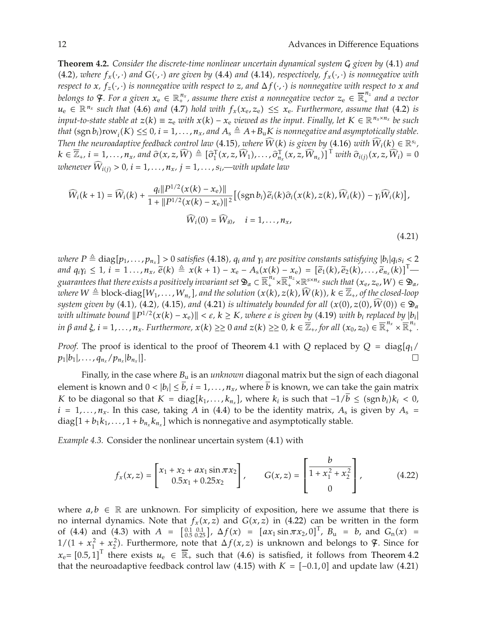**Theorem 4.2.** *Consider the discrete-time nonlinear uncertain dynamical system* <sup>G</sup> *given by* 4.1 *and* (4.2), where  $f_x(\cdot, \cdot)$  and  $G(\cdot, \cdot)$  are given by (4.4) and (4.14), respectively,  $f_x(\cdot, \cdot)$  is nonnegative with *respect to*  $x$ *,*  $f_z(\cdot)$  *is nonnegative with respect to*  $z$ *, and*  $\Delta f(\cdot)$  *is nonnegative with respect to*  $x$  *and belongs to*  $\mathcal{F}$ . For a given  $x_e \in \mathbb{R}_+^{n_x}$ , assume there exist a nonnegative vector  $z_e \in \overline{\mathbb{R}}_+^{n_z}$  and a vector  $u_e \in \mathbb{R}^{n_x}$  *such that* (4.6) *and* (4.7) *hold with*  $f_x(x_e, z_e) \leq x_e$ . *Furthermore, assume that* (4.2) *is input-to-state stable at*  $z(k) ≡ z_e$  *with*  $x(k) − x_e$  *viewed as the input. Finally, let*  $K ∈ \mathbb{R}^{n_x \times n_x}$  *be such that*  $(\text{sgn } b_i) \text{row}_i(K) \leq 0$ ,  $i = 1, ..., n_x$ , and  $A_s \triangleq A + B_u K$  is nonnegative and asymptotically stable. *Then the neuroadaptive feedback control law* (4.15), where  $\widehat{W}(k)$  is given by (4.16) with  $\widehat{W}_i(k) \in \mathbb{R}^{s_i}$  $k \in \overline{\mathbb{Z}}_+, i = 1, ..., n_x$ , and  $\widehat{\sigma}(x, z, \widehat{W}) \triangleq [\widehat{\sigma}_1^{\mathrm{T}}(x, z, \widehat{W}_1), ..., \widehat{\sigma}_{n_x}^{\mathrm{T}}(x, z, \widehat{W}_{n_x})]^{\mathrm{T}}$  with  $\widehat{\sigma}_{i(j)}(x, z, \widehat{W}_i) = 0$ *whenever*  $\widehat{W}_{i(j)} > 0$ ,  $i = 1, \ldots, n_x$ ,  $j = 1, \ldots, s_i$ *,—with update law* 

$$
\widehat{W}_{i}(k+1) = \widehat{W}_{i}(k) + \frac{q_{i}||P^{1/2}(x(k) - x_{e})||}{1 + ||P^{1/2}(x(k) - x_{e})||^{2}} \left[ (\text{sgn } b_{i}) \widetilde{e}_{i}(k) \widehat{\sigma}_{i}(x(k), z(k), \widehat{W}_{i}(k)) - \gamma_{i} \widehat{W}_{i}(k) \right],
$$
\n
$$
\widehat{W}_{i}(0) = \widehat{W}_{i0}, \quad i = 1, ..., n_{x},
$$
\n(4.21)

 $w$ here  $P\triangleq \text{diag}[p_1,\ldots,p_{n_x}]>0$  satisfies (4.18),  $q_i$  and  $\gamma_i$  are positive constants satisfying  $|b_i|q_is_i\leq 2$ and  $q_i\gamma_i \leq 1$ ,  $i = 1, ..., n_x$ ,  $\tilde{e}(k) \triangleq x(k+1) - x_e - A_s(x(k) - x_e) = [\tilde{e}_1(k), \tilde{e}_2(k), ..., \tilde{e}_{n_x}(k)]^{\mathrm{T}}$ <br>contraction that there wish a maximal virgoriant ast  $\Omega_e = \overline{\mathbb{P}}^{n_x} \cdot \overline{\mathbb{P}}^{n_x} \cdot \overline{\mathbb{P}}^{n_x}$  with that  $(x, z, M) \in \$  $g$ uarantees that there exists a positively invariant set  $\mathfrak{D}_\alpha \subset \overline{\mathbb{R}}_+^{n_x} \times \overline{\mathbb{R}}_+^{n_z} \times \mathbb{R}^{s \times n_x}$  such that  $(x_e, z_e, W) \in \mathfrak{D}_\alpha$ ,  $w \triangleq \text{block-diag}[W_1, \ldots, W_{n_x}]$ , and the solution  $(x(k), z(k), \widehat{W}(k))$ ,  $k \in \overline{\mathbb{Z}}_+$ , of the closed-loop *system given by* (4.1), (4.2), (4.15), and (4.21) *is ultimately bounded for all*  $(x(0), z(0), \hat{W}(0)) \in \mathcal{D}_{\alpha}$ *with ultimate bound*  $||P^{1/2}(x(k) - x_e)|| < \varepsilon$ ,  $k \geq K$ , where  $\varepsilon$  *is given by* (4.19) *with*  $b_i$  *replaced by*  $|b_i|$ in  $\beta$  and  $\xi$ ,  $i = 1, ..., n_x$ . Furthermore,  $x(k) \ge 0$  and  $z(k) \ge 0$ ,  $k \in \overline{\mathbb{Z}}_+$ , for all  $(x_0, z_0) \in \overline{\mathbb{R}}_+^{n_x} \times \overline{\mathbb{R}}_+^{n_z}$ .

*Proof.* The proof is identical to the proof of Theorem 4.1 with *Q* replaced by  $Q = \text{diag}[q_1 / q_2]$  $p_1|b_1|, \ldots, q_{n_x}/p_{n_x}|b_{n_x}|\}.$  $\Box$ 

Finally, in the case where *B*<sup>u</sup> is an *unknown* diagonal matrix but the sign of each diagonal element is known and  $0 < |b_i| \le \overline{b}$ ,  $i = 1, \ldots, n_x$ , where  $\overline{b}$  is known, we can take the gain matrix *K* to be diagonal so that  $K = \text{diag}[k_1, \ldots, k_{n_x}]$ , where  $k_i$  is such that  $-1/\overline{b} \leq (\text{sgn } b_i)k_i < 0$ ,  $i = 1, \ldots, n_x$ . In this case, taking *A* in (4.4) to be the identity matrix,  $A_s$  is given by  $A_s =$  $diag[1 + b_1k_1, \ldots, 1 + b_{n_x}k_{n_x}]$  which is nonnegative and asymptotically stable.

*Example 4.3.* Consider the nonlinear uncertain system (4.1) with

$$
f_x(x, z) = \begin{bmatrix} x_1 + x_2 + ax_1 \sin \pi x_2 \\ 0.5x_1 + 0.25x_2 \end{bmatrix}, \qquad G(x, z) = \begin{bmatrix} b \\ 1 + x_1^2 + x_2^2 \\ 0 \end{bmatrix}, \tag{4.22}
$$

where  $a, b \in \mathbb{R}$  are unknown. For simplicity of exposition, here we assume that there is no internal dynamics. Note that  $f_x(x, z)$  and  $G(x, z)$  in (4.22) can be written in the form of (4.4) and (4.3) with  $A = \begin{bmatrix} 0.1 & 0.1 \\ 0.5 & 0.25 \end{bmatrix}$ ,  $\Delta f(x) = [ax_1 \sin \pi x_2, 0]^T$ ,  $B_u = b$ , and  $G_n(x) =$  $1/(1 + x_1^2 + x_2^2)$ . Furthermore, note that  $\Delta f(x, z)$  is unknown and belongs to  $\mathcal{F}$ . Since for  $x_e = [0.5, 1]^T$  there exists  $u_e \in \overline{\mathbb{R}}_+$  such that (4.6) is satisfied, it follows from Theorem 4.2 that the neuroadaptive feedback control law  $(4.15)$  with  $K = [-0.1, 0]$  and update law  $(4.21)$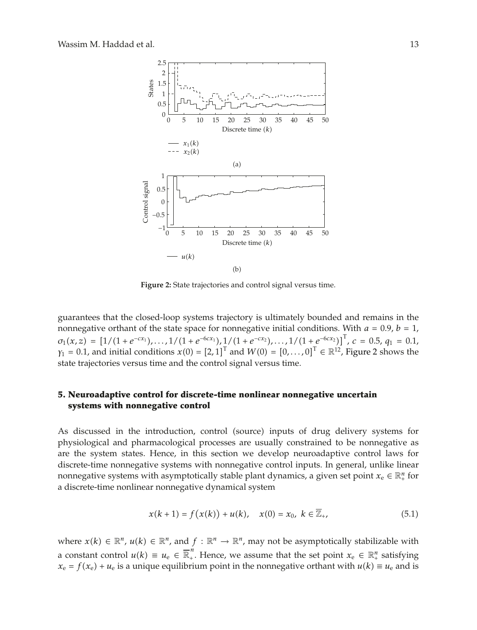

**Figure 2:** State trajectories and control signal versus time.

guarantees that the closed-loop systems trajectory is ultimately bounded and remains in the nonnegative orthant of the state space for nonnegative initial conditions. With  $a = 0.9$ ,  $b = 1$ ,  $\sigma_1(x,z) = [1/(1+e^{-cx_1}),...,1/(1+e^{-6cx_1}),1/(1+e^{-cx_2}),...,1/(1+e^{-6cx_2})]^T$ ,  $c = 0.5, q_1 = 0.1$ ,  $\gamma_1 = 0.1$ , and initial conditions  $x(0) = [2, 1]^T$  and  $W(0) = [0, \ldots, 0]^T \in \mathbb{R}^{12}$ , Figure 2 shows the state trajectories versus time and the control signal versus time.

# **5. Neuroadaptive control for discrete-time nonlinear nonnegative uncertain systems with nonnegative control**

As discussed in the introduction, control (source) inputs of drug delivery systems for physiological and pharmacological processes are usually constrained to be nonnegative as are the system states. Hence, in this section we develop neuroadaptive control laws for discrete-time nonnegative systems with nonnegative control inputs. In general, unlike linear nonnegative systems with asymptotically stable plant dynamics, a given set point  $x_e \in \mathbb{R}^n_+$  for a discrete-time nonlinear nonnegative dynamical system

$$
x(k+1) = f(x(k)) + u(k), \quad x(0) = x_0, \ k \in \overline{\mathbb{Z}}_+, \tag{5.1}
$$

where  $x(k) \in \mathbb{R}^n$ ,  $u(k) \in \mathbb{R}^n$ , and  $f : \mathbb{R}^n \to \mathbb{R}^n$ , may not be asymptotically stabilizable with a constant control  $u(k) \equiv u_e \in \overline{\mathbb{R}}_+^n$ . Hence, we assume that the set point  $x_e \in \mathbb{R}_+^n$  satisfying  $x_e = f(x_e) + u_e$  is a unique equilibrium point in the nonnegative orthant with  $u(k) \equiv u_e$  and is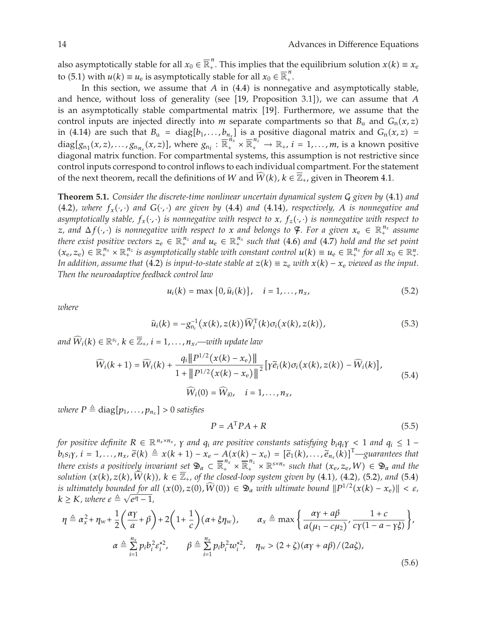also asymptotically stable for all  $x_0 \in \overline{\mathbb{R}}_+^n$ . This implies that the equilibrium solution  $x(k) \equiv x_{\epsilon}$ to (5.1) with  $u(k) \equiv u_e$  is asymptotically stable for all  $x_0 \in \overline{\mathbb{R}}_+^n$ .

In this section, we assume that  $A$  in  $(4.4)$  is nonnegative and asymptotically stable, and hence, without loss of generality (see [19, Proposition 3.1]), we can assume that  $A$ is an asymptotically stable compartmental matrix [19]. Furthermore, we assume that the control inputs are injected directly into *m* separate compartments so that  $B_u$  and  $G_n(x, z)$ in (4.14) are such that  $B_u = \text{diag}[b_1, \ldots, b_{n_x}]$  is a positive diagonal matrix and  $G_n(x, z)$  =  $diag[g_{n_1}(x,z),...,g_{n_{n_x}}(x,z)]$ , where  $g_{n_i}: \overline{\mathbb{R}}_+^{\overline{n_x}} \times \overline{\mathbb{R}}_+^{\overline{n_z}} \to \mathbb{R}_+$ ,  $i=1,\ldots,m$ , is a known positive diagonal matrix function. For compartmental systems, this assumption is not restrictive since control inputs correspond to control inflows to each individual compartment. For the statement of the next theorem, recall the definitions of *W* and  $\hat{W}(k)$ ,  $k \in \mathbb{Z}_+$ , given in Theorem 4.1.

**Theorem 5.1.** *Consider the discrete-time nonlinear uncertain dynamical system* <sup>G</sup> *given by* 4.1 *and* (4.2), where  $f_x(\cdot, \cdot)$  and  $G(\cdot, \cdot)$  are given by (4.4) and (4.14), respectively, A is nonnegative and *asymptotically stable,*  $f_x(\cdot, \cdot)$  *is nonnegative with respect to*  $x$ *,*  $f_z(\cdot, \cdot)$  *is nonnegative with respect to z*, and  $\Delta f(\cdot, \cdot)$  is nonnegative with respect to *x* and belongs to  $\mathcal{F}$ . For a given  $x_e \in \mathbb{R}_+^{n_x}$  assume *there exist positive vectors*  $z_e \in \mathbb{R}_+^{n_z}$  and  $u_e \in \mathbb{R}_+^{n_x}$  such that (4.6) and (4.7) hold and the set point  $(x_e, z_e) \in \mathbb{R}_+^{n_x} \times \mathbb{R}_+^{n_z}$  is asymptotically stable with constant control  $u(k) \equiv u_e \in \mathbb{R}_+^{n_x}$  for all  $x_0 \in \mathbb{R}_+^{n_x}$ *In addition, assume that* (4.2) *is input-to-state stable at*  $z(k) \equiv z_e$  *with*  $x(k) - x_e$  *viewed as the input. Then the neuroadaptive feedback control law*

$$
u_i(k) = \max\{0, \hat{u}_i(k)\}, \quad i = 1, ..., n_x,
$$
 (5.2)

*where*

$$
\widehat{u}_i(k) = -g_{n_i}^{-1}\big(x(k), z(k)\big)\widehat{W}_i^{\mathrm{T}}(k)\sigma_i\big(x(k), z(k)\big),\tag{5.3}
$$

*and*  $\widehat{W}_i(k) \in \mathbb{R}^{s_i}$ ,  $k \in \overline{\mathbb{Z}}_+, i = 1, \ldots, n_x$ *,—with update law* 

$$
\widehat{W}_{i}(k+1) = \widehat{W}_{i}(k) + \frac{q_{i} \| P^{1/2}(x(k) - x_{e}) \|}{1 + \| P^{1/2}(x(k) - x_{e}) \|^{2}} [\widetilde{P}_{i}(k)\sigma_{i}(x(k), z(k)) - \widehat{W}_{i}(k)],
$$
\n
$$
\widehat{W}_{i}(0) = \widehat{W}_{i0}, \quad i = 1, ..., n_{x},
$$
\n(5.4)

 $where\ P \triangleq \text{diag}[p_1,\ldots,p_{n_x}] > 0$  satisfies

$$
P = A^{\mathrm{T}} P A + R \tag{5.5}
$$

*for positive definite*  $R \in \mathbb{R}^{n_x \times n_x}$ ,  $\gamma$  *and*  $q_i$  *are positive constants satisfying*  $b_i q_i \gamma < 1$  *and*  $q_i \leq 1 - \gamma$  $b_i s_i \gamma$ ,  $i = 1, ..., n_x$ ,  $\tilde{e}(k) \triangleq x(k+1) - x_e - A(x(k) - x_e) = [\tilde{e}_1(k), ..., \tilde{e}_{n_x}(k)]^T$ —guarantees that *there exists a positively invariant set*  $\mathfrak{D}_{\alpha} \subset \overline{\mathbb{R}}_+^{n_x} \times \overline{\mathbb{R}}_+^{n_z} \times \mathbb{R}^{s \times n_x}$  such that  $(x_e, z_e, W) \in \mathfrak{D}_{\alpha}$  and the *solution*  $(x(k), z(k), \widehat{W}(k))$ ,  $k \in \overline{\mathbb{Z}}_+$ , of the closed-loop system given by (4.1), (4.2), (5.2), and (5.4) *is ultimately bounded for all*  $(x(0), z(0), \hat{W}(0)) \in \mathfrak{D}_{\alpha}$  *with ultimate bound*  $||P^{1/2}(x(k) - x_e)|| < \varepsilon$ ,  $k \geq K$ *, where*  $\varepsilon \triangleq \sqrt{e^{\eta}-1}$ *,* 

$$
\eta \triangleq \alpha_x^2 + \eta_w + \frac{1}{2} \left( \frac{\alpha \gamma}{a} + \beta \right) + 2 \left( 1 + \frac{1}{c} \right) \left( \alpha + \xi \eta_w \right), \qquad \alpha_x \triangleq \max \left\{ \frac{\alpha \gamma + a\beta}{a(\mu_1 - c\mu_2)}, \frac{1 + c}{c\gamma(1 - a - \gamma\xi)} \right\},
$$

$$
\alpha \triangleq \sum_{i=1}^{n_x} p_i b_i^2 \varepsilon_i^{*2}, \qquad \beta \triangleq \sum_{i=1}^{n_x} p_i b_i^2 w_i^{*2}, \qquad \eta_w > (2 + \zeta) \left( \alpha \gamma + a\beta \right) / (2a\zeta), \tag{5.6}
$$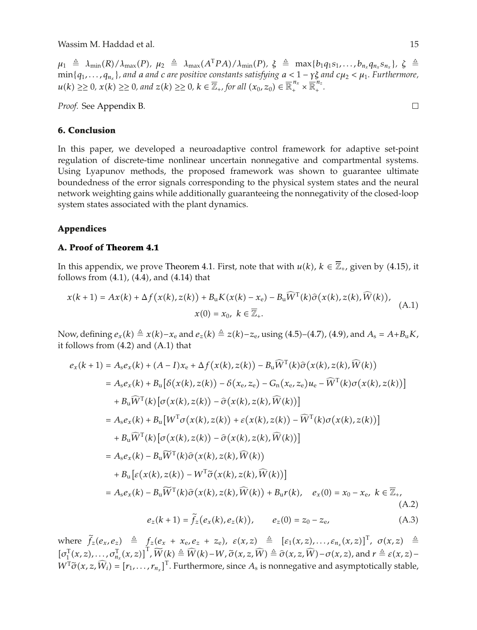$\Box$ 

 $\mu_1$   $\triangleq$   $\lambda_{\min}(R)/\lambda_{\max}(P)$ ,  $\mu_2$   $\triangleq$   $\lambda_{\max}(A^{\mathrm{T}}PA)/\lambda_{\min}(P)$ ,  $\xi$   $\triangleq$   $\max\{b_1q_1s_1,\ldots,b_{n_x}q_{n_x}s_{n_x}\}$ ,  $\zeta$   $\triangleq$  $\min\{q_1, \ldots, q_{n_x}\}$ , and *a* and *c* are positive constants satisfying  $a < 1 - \gamma \xi$  and  $c\mu_2 < \mu_1$ . Furthermore,  $u(k) \ge 0$ ,  $x(k) \ge 0$ , and  $z(k) \ge 0$ ,  $k \in \overline{\mathbb{Z}}_+$ , for all  $(x_0, z_0) \in \overline{\mathbb{R}}_+^{n_x} \times \overline{\mathbb{R}}_+^{n_z}$ .

*Proof.* See Appendix B.

#### **6. Conclusion**

In this paper, we developed a neuroadaptive control framework for adaptive set-point regulation of discrete-time nonlinear uncertain nonnegative and compartmental systems. Using Lyapunov methods, the proposed framework was shown to guarantee ultimate boundedness of the error signals corresponding to the physical system states and the neural network weighting gains while additionally guaranteeing the nonnegativity of the closed-loop system states associated with the plant dynamics.

## **Appendices**

## **A. Proof of Theorem 4.1**

In this appendix, we prove Theorem 4.1. First, note that with  $u(k)$ ,  $k \in \mathbb{Z}_+$ , given by (4.15), it follows from  $(4.1)$ ,  $(4.4)$ , and  $(4.14)$  that

$$
x(k+1) = Ax(k) + \Delta f\big(x(k), z(k)\big) + B_u K(x(k) - x_e) - B_u \widehat{W}^T(k) \widehat{\sigma}\big(x(k), z(k), \widehat{W}(k)\big),
$$
  

$$
x(0) = x_0, \ k \in \overline{\mathbb{Z}}_+.
$$
 (A.1)

Now, defining  $e_x(k) \triangleq x(k)-x_e$  and  $e_z(k) \triangleq z(k)-z_e$ , using  $(4.5)-(4.7)$ ,  $(4.9)$ , and  $A_s = A+B_uK$ , it follows from  $(4.2)$  and  $(A.1)$  that

$$
e_x(k+1) = A_s e_x(k) + (A - I)x_e + \Delta f(x(k), z(k)) - B_u \widehat{W}^T(k) \widehat{\sigma}(x(k), z(k), \widehat{W}(k))
$$
  
\n
$$
= A_s e_x(k) + B_u [\delta(x(k), z(k)) - \delta(x_e, z_e) - G_n(x_e, z_e)u_e - \widehat{W}^T(k) \sigma(x(k), z(k))]
$$
  
\n
$$
+ B_u \widehat{W}^T(k) [\sigma(x(k), z(k)) - \widehat{\sigma}(x(k), z(k), \widehat{W}(k))]
$$
  
\n
$$
= A_s e_x(k) + B_u [W^T \sigma(x(k), z(k)) + \varepsilon(x(k), z(k)) - \widehat{W}^T(k) \sigma(x(k), z(k))]
$$
  
\n
$$
+ B_u \widehat{W}^T(k) [\sigma(x(k), z(k)) - \widehat{\sigma}(x(k), z(k), \widehat{W}(k))]
$$
  
\n
$$
= A_s e_x(k) - B_u \widetilde{W}^T(k) \widehat{\sigma}(x(k), z(k), \widehat{W}(k))
$$
  
\n
$$
+ B_u [\varepsilon(x(k), z(k)) - W^T \widetilde{\sigma}(x(k), z(k), \widehat{W}(k))]
$$
  
\n
$$
= A_s e_x(k) - B_u \widetilde{W}^T(k) \widehat{\sigma}(x(k), z(k), \widehat{W}(k)) + B_u r(k), \quad e_x(0) = x_0 - x_e, \ k \in \overline{\mathbb{Z}}_+,
$$
  
\n(A.2)

$$
e_z(k+1) = \tilde{f}_z(e_x(k), e_z(k)), \qquad e_z(0) = z_0 - z_e,
$$
 (A.3)

where  $\tilde{f}_z(e_x, e_z) \triangleq f_z(e_x + x_e, e_z + z_e)$ ,  $\varepsilon(x, z) \triangleq [\varepsilon_1(x, z), \dots, \varepsilon_{n_x}(x, z)]^T$ ,  $\sigma(x, z) \triangleq [\sigma_1^T(x, z), \dots, \sigma_{n_x}^T(x, z)]^T$ ,  $\widetilde{W}(k) \triangleq \widehat{W}(k) - W$ ,  $\widetilde{\sigma}(x, z, \widehat{W}) \triangleq \widehat{\sigma}(x, z, \widehat{W}) - \sigma(x, z)$ , and  $r \triangleq \varepsilon(x, z) - W$ ,  $\widetilde$  $W^T\tilde{\sigma}(x, z, \widehat{W}_i) = [r_1, \dots, r_{n_x}]^T$ . Furthermore, since  $A_s$  is nonnegative and asymptotically stable,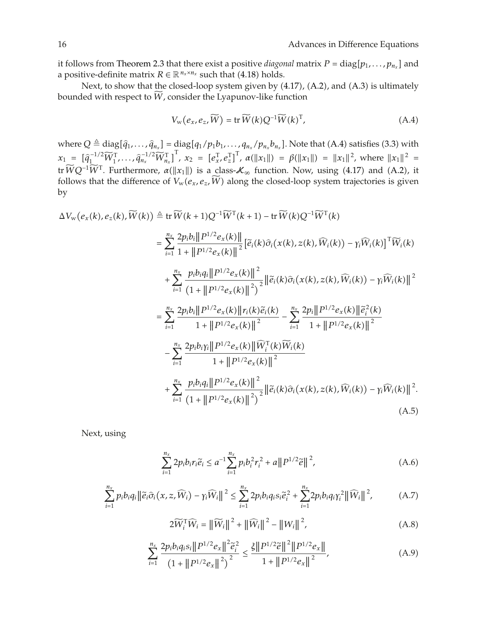it follows from Theorem 2.3 that there exist a positive *diagonal* matrix  $P = \text{diag}[p_1, \ldots, p_{n_x}]$  and a positive-definite matrix  $R \in \mathbb{R}^{n_x \times n_x}$  such that (4.18) holds.

Next, to show that the closed-loop system given by  $(4.17)$ ,  $(A.2)$ , and  $(A.3)$  is ultimately bounded with respect to  $\widetilde{W}$ , consider the Lyapunov-like function

$$
V_{\rm w}(e_x,e_z,\widetilde{W}) = \text{tr}\,\widetilde{W}(k)Q^{-1}\widetilde{W}(k)^{\rm T},\tag{A.4}
$$

where  $Q \triangleq diag[\hat{q}_1,\ldots,\hat{q}_{n_x}] = diag[q_1/p_1b_1,\ldots,q_{n_x}/p_{n_x}b_{n_x}]$ . Note that  $(A.4)$  satisfies (3.3) with  $x_1 = [\hat{q}_1^{-1/2}\widetilde{W}_1^T, \dots, \hat{q}_{n_x}^{-1/2}\widetilde{W}_{n_x}^T]^T, x_2 = [e_{x'}^T e_{z'}^T]^T, \alpha(\|x_1\|) = \beta(\|x_1\|) = \|x_1\|^2$ , where  $\|x_1\|^2 =$ tr  $\widetilde{W}Q^{-1}\widetilde{W}^T$ . Furthermore,  $\alpha(\|x_1\|)$  is a class- $\mathcal{K}_{\infty}$  function. Now, using (4.17) and (A.2), it follows that the difference of  $V_w(e_x, e_z, \widetilde{W})$  along the closed-loop system trajectories is given by

$$
\Delta V_{w}(e_{x}(k), e_{z}(k), \widetilde{W}(k)) \triangleq \text{tr}\,\widetilde{W}(k+1)Q^{-1}\widetilde{W}^{T}(k+1) - \text{tr}\,\widetilde{W}(k)Q^{-1}\widetilde{W}^{T}(k)
$$
\n
$$
= \sum_{i=1}^{n_{x}} \frac{2p_{i}b_{i}||P^{1/2}e_{x}(k)||}{1 + ||P^{1/2}e_{x}(k)||^{2}} [\widetilde{e}_{i}(k)\widehat{\sigma}_{i}(x(k), z(k), \widehat{W}_{i}(k)) - \gamma_{i}\widehat{W}_{i}(k)]^{T}\widetilde{W}_{i}(k)
$$
\n
$$
+ \sum_{i=1}^{n_{x}} \frac{p_{i}b_{i}q_{i}||P^{1/2}e_{x}(k)||^{2}}{(1 + ||P^{1/2}e_{x}(k)||^{2})^{2}} ||\widetilde{e}_{i}(k)\widehat{\sigma}_{i}(x(k), z(k), \widehat{W}_{i}(k)) - \gamma_{i}\widehat{W}_{i}(k)||^{2}
$$
\n
$$
= \sum_{i=1}^{n_{x}} \frac{2p_{i}b_{i}||P^{1/2}e_{x}(k)||r_{i}(k)\widetilde{e}_{i}(k)}{1 + ||P^{1/2}e_{x}(k)||^{2}} - \sum_{i=1}^{n_{x}} \frac{2p_{i}||P^{1/2}e_{x}(k)||\widetilde{e}_{i}^{2}(k)}{1 + ||P^{1/2}e_{x}(k)||^{2}}
$$
\n
$$
- \sum_{i=1}^{n_{x}} \frac{2p_{i}b_{i}\gamma_{i}||P^{1/2}e_{x}(k)||\widetilde{W}_{i}^{T}(k)\widetilde{W}_{i}(k)}{1 + ||P^{1/2}e_{x}(k)||^{2}}
$$
\n
$$
+ \sum_{i=1}^{n_{x}} \frac{p_{i}b_{i}q_{i}||P^{1/2}e_{x}(k)||^{2}}{(1 + ||P^{1/2}e_{x}(k)||^{2})^{2}} ||\widetilde{e}_{i}(k)\widehat{\sigma}_{i}(x(k), z(k), \widehat{W}_{i}(k)) - \gamma_{i}\widehat{W}_{i}(k)||^{2}.
$$
\n(A.5)

Next, using

$$
\sum_{i=1}^{n_x} 2p_i b_i r_i \tilde{e}_i \le a^{-1} \sum_{i=1}^{n_x} p_i b_i^2 r_i^2 + a \| P^{1/2} \tilde{e} \|^2,
$$
 (A.6)

$$
\sum_{i=1}^{n_x} p_i b_i q_i \| \widetilde{e}_i \widehat{\sigma}_i(x, z, \widehat{W}_i) - \gamma_i \widehat{W}_i \|^2 \leq \sum_{i=1}^{n_x} 2p_i b_i q_i s_i \widetilde{e}_i^2 + \sum_{i=1}^{n_x} 2p_i b_i q_i \gamma_i^2 \| \widehat{W}_i \|^2,
$$
 (A.7)

$$
2\widetilde{W}_{i}^{\mathrm{T}}\widehat{W}_{i} = \left\|\widetilde{W}_{i}\right\|^{2} + \left\|\widehat{W}_{i}\right\|^{2} - \left\|W_{i}\right\|^{2},\tag{A.8}
$$

$$
\sum_{i=1}^{n_x} \frac{2p_i b_i q_i s_i \| P^{1/2} e_x \|^2 \tilde{e}_i^2}{\left(1 + \| P^{1/2} e_x \|^2\right)^2} \le \frac{\xi \| P^{1/2} \tilde{e} \|^2 \| P^{1/2} e_x \|}{1 + \| P^{1/2} e_x \|^2},\tag{A.9}
$$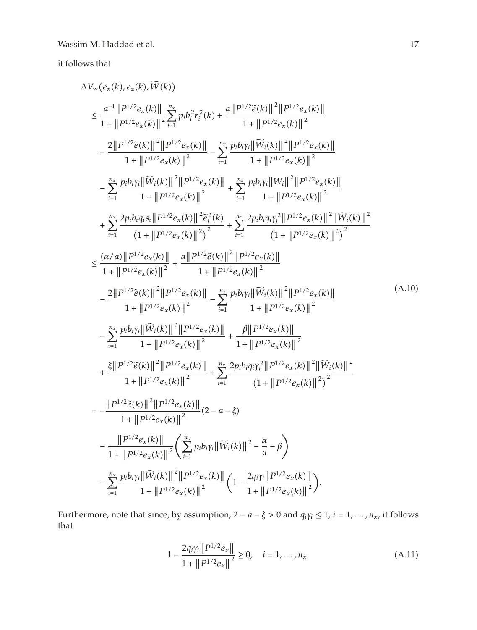it follows that

$$
\Delta V_{w} (e_{x}(k), e_{z}(k), \widetilde{W}(k))
$$
\n
$$
\leq \frac{a^{-1} ||P^{1/2}e_{x}(k)|| ||\overset{n_{x}}{\geq} p_{i}b_{i}^{2}r_{i}^{2}(k) + \frac{a||P^{1/2}\tilde{e}(k)||^{2} ||P^{1/2}e_{x}(k)||}{1 + ||P^{1/2}e_{x}(k)||^{2}}
$$
\n
$$
-\frac{2||P^{1/2}\tilde{e}(k)||^{2} ||P^{1/2}e_{x}(k)|| - \frac{p_{x} p_{i}b_{i}||\widetilde{W}_{i}(k)||^{2} ||P^{1/2}e_{x}(k)||}{1 + ||P^{1/2}e_{x}(k)||^{2}}
$$
\n
$$
-\frac{2||P^{1/2}\tilde{e}(k)||^{2} ||P^{1/2}e_{x}(k)|| - \frac{p_{x} p_{i}b_{i}||\widetilde{W}_{i}(k)||^{2} ||P^{1/2}e_{x}(k)||^{2}}{1 + ||P^{1/2}e_{x}(k)||^{2}}
$$
\n
$$
-\frac{r_{x} p_{i}b_{i}||\widetilde{W}_{i}(k)||^{2} ||P^{1/2}e_{x}(k)|| - \frac{r_{x} p_{i}b_{i}||\widetilde{W}_{i}||^{2} ||P^{1/2}e_{x}(k)||^{2}}{1 + ||P^{1/2}e_{x}(k)||^{2}}
$$
\n
$$
+\sum_{i=1}^{n_{x}} \frac{2p_{i}b_{i}q_{i}s_{i}||P^{1/2}e_{x}(k)||^{2}e_{i}^{2}(k) + \sum_{i=1}^{n_{x}} \frac{2p_{i}b_{i}q_{i}w_{i}||^{2} ||P^{1/2}e_{x}(k)||^{2}}{(1 + ||P^{1/2}e_{x}(k)||^{2} + \sum_{i=1}^{n_{x}} \frac{2p_{i}b_{i}q_{i}w_{i}||^{2} ||P^{1/2}e_{x}(k)||^{2}}{1 + ||P^{1/2}e_{x}(k)||^{2} + \sum_{i=1}^{n_{x}} \frac{p_{i}b_{i}q_{i}w_{i}||^{2}||^{2}}{(1 + ||P^{1/2}e_{x}(k)||^{2} + \sum_{i=1}^{n_{x}}
$$

Furthermore, note that since, by assumption,  $2 - a - \xi > 0$  and  $q_i \gamma_i \leq 1$ ,  $i = 1, ..., n_x$ , it follows that

$$
1 - \frac{2q_i \gamma_i \|P^{1/2}e_x\|}{1 + \|P^{1/2}e_x\|^2} \ge 0, \quad i = 1, ..., n_x.
$$
 (A.11)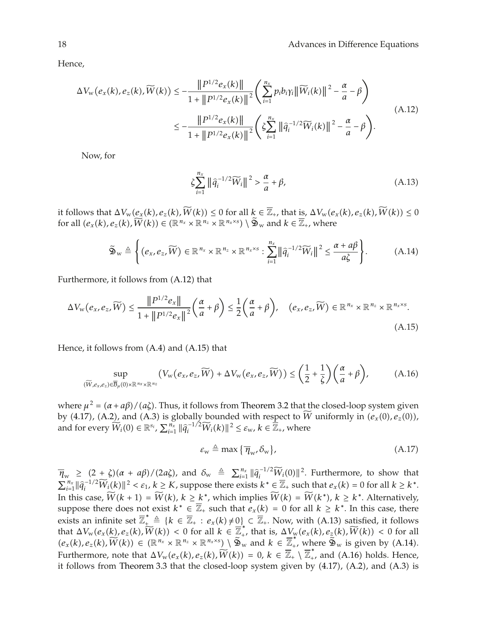Hence,

$$
\Delta V_{\rm w}(e_x(k), e_z(k), \widetilde{W}(k)) \leq -\frac{\|P^{1/2}e_x(k)\|}{1 + \|P^{1/2}e_x(k)\|^2} \left(\sum_{i=1}^{n_x} p_i b_i \gamma_i \|\widetilde{W}_i(k)\|^2 - \frac{\alpha}{a} - \beta\right)
$$
\n
$$
\leq -\frac{\|P^{1/2}e_x(k)\|}{1 + \|P^{1/2}e_x(k)\|^2} \left(\xi \sum_{i=1}^{n_x} \|\widehat{q}_i^{-1/2}\widetilde{W}_i(k)\|^2 - \frac{\alpha}{a} - \beta\right).
$$
\n(A.12)

Now, for

$$
\xi \sum_{i=1}^{n_x} \left\| \widehat{q}_i^{-1/2} \widetilde{W}_i \right\|^2 > \frac{\alpha}{a} + \beta,\tag{A.13}
$$

it follows that  $\Delta V_w(e_x(k), e_z(k), \widetilde{W}(k)) \leq 0$  for all  $k \in \overline{\mathbb{Z}}_+$ , that is,  $\Delta V_w(e_x(k), e_z(k), \widetilde{W}(k)) \leq 0$ for all  $(e_x(k), e_z(k), \widetilde{W}(k)) \in (\mathbb{R}^{n_x} \times \mathbb{R}^{n_z} \times \mathbb{R}^{n_x \times s}) \setminus \widetilde{\mathfrak{B}}_w$  and  $k \in \overline{\mathbb{Z}}_+$ , where

$$
\widetilde{\mathfrak{B}}_{w} \triangleq \left\{ (e_x, e_z, \widetilde{W}) \in \mathbb{R}^{n_x} \times \mathbb{R}^{n_z} \times \mathbb{R}^{n_x \times s} : \sum_{i=1}^{n_x} ||\widehat{q}_i^{-1/2} \widetilde{W}_i||^2 \leq \frac{\alpha + a\beta}{a\zeta} \right\}.
$$
 (A.14)

Furthermore, it follows from  $(A.12)$  that

$$
\Delta V_{\mathbf{w}}(e_x, e_z, \widetilde{W}) \le \frac{\|P^{1/2}e_x\|}{1 + \|P^{1/2}e_x\|^2} \left(\frac{\alpha}{a} + \beta\right) \le \frac{1}{2} \left(\frac{\alpha}{a} + \beta\right), \quad (e_x, e_z, \widetilde{W}) \in \mathbb{R}^{n_x} \times \mathbb{R}^{n_z} \times \mathbb{R}^{n_x \times s}.
$$
\n(A.15)

Hence, it follows from  $(A.4)$  and  $(A.15)$  that

$$
\sup_{\left(\widetilde{W},e_x,e_z\right)\in\overline{B}_{\mu}(0)\times\mathbb{R}^{n_x}\times\mathbb{R}^{n_z}}\left(V_w\left(e_x,e_z,\widetilde{W}\right)+\Delta V_w\left(e_x,e_z,\widetilde{W}\right)\right)\leq\left(\frac{1}{2}+\frac{1}{\zeta}\right)\left(\frac{\alpha}{a}+\beta\right),\tag{A.16}
$$

where  $\mu^2 = (\alpha + a\beta)/(a\zeta)$ . Thus, it follows from Theorem 3.2 that the closed-loop system given by (4.17), (A.2), and (A.3) is globally bounded with respect to *W* uniformly in  $(e_x(0), e_z(0))$ , and for every  $\widetilde{W}_i(0) \in \mathbb{R}^{s_i}$ ,  $\sum_{i=1}^{n_x} ||\widehat{q}_i^{-1/2} \widetilde{W}_i(k)||^2 \leq \varepsilon_{w}$ ,  $k \in \overline{\mathbb{Z}}_+$ , where

$$
\varepsilon_{\rm w} \triangleq \max\left\{\overline{\eta}_{\rm w}, \delta_{\rm w}\right\},\tag{A.17}
$$

 $\overline{\eta}_w \geq (2 + \zeta)(\alpha + a\beta)/(2a\zeta)$ , and  $\delta_w \triangleq \sum_{i=1}^{n_x} ||\widehat{q}_i^{-1/2}\widetilde{W}_i(0)||^2$ . Furthermore, to show that  $\sum_{i=1}^{n_x} ||\widehat{q}_i^{-1/2}\widetilde{W}_i(0)||^2$ . Furthermore, to show that  $\sum_{i=1}^{n_x} ||\hat{q}_i^{-1/2} \widetilde{W}_i(k)||^2 < \varepsilon_1, k \ge K$ , suppose there exists  $k^* \in \overline{\mathbb{Z}}_+$  such that  $e_x(k) = 0$  for all  $k \ge k^*$ . In this case,  $\overline{W}(k+1) = \overline{W}(k)$ ,  $k \ge k^*$ , which implies  $\overline{W}(k) = \overline{W}(k^*)$ ,  $k \ge k^*$ . Alternatively, suppose there does not exist  $k^* \in \overline{\mathbb{Z}}$  such that  $e_x(k) = 0$  for all  $k \geq k^*$ . In this case, there exists an infinite set  $\overline{\mathbb{Z}}_{+}^* \triangleq \{k \in \overline{\mathbb{Z}}_+ : e_x(k) \neq 0\} \subset \overline{\mathbb{Z}}_+$ . Now, with (A.13) satisfied, it follows that  $\Delta V_w(e_x(k), e_z(k), \widetilde{W}(k)) < 0$  for all  $k \in \overline{\mathbb{Z}}^*_+$ , that is,  $\Delta V_w(e_x(k), e_z(k), \widetilde{W}(k)) < 0$  for all  $\Delta V_w(e_x(k), e_z(k), \widetilde{W}(k)) < 0$  for all  $\Delta V_w(e_x(k), e_z(k), \widetilde{W}(k))$  $(e_x(k), e_z(k), \widetilde{W}(k)) \in (\mathbb{R}^{n_x} \times \mathbb{R}^{n_z} \times \mathbb{R}^{n_x \times s}) \setminus \widetilde{\mathfrak{D}}_w$  and  $k \in \overline{\mathbb{Z}}^*_+$ , where  $\widetilde{\mathfrak{D}}_w$  is given by  $(A.14)$ . Furthermore, note that  $\Delta V_w(e_x(k), e_z(k), \widetilde{W}(k)) = 0, k \in \overline{\mathbb{Z}}_+ \setminus \overline{\mathbb{Z}}_+^*$  and (A.16) holds. Hence, it follows from Theorem 3.3 that the closed-loop system given by  $(4.17)$ ,  $(A.2)$ , and  $(A.3)$  is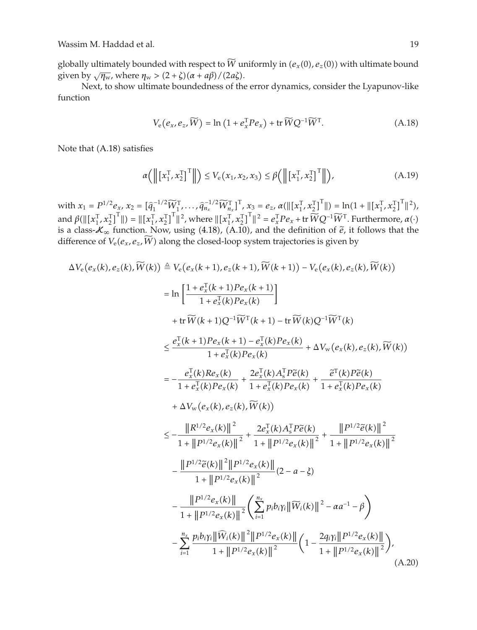globally ultimately bounded with respect to  $\widetilde{W}$  uniformly in  $(e_x(0), e_z(0))$  with ultimate bound given by  $\sqrt{\eta_w}$ , where  $\eta_w > (2 + \zeta)(\alpha + a\beta)/(2a\zeta)$ .

Next, to show ultimate boundedness of the error dynamics, consider the Lyapunov-like function

$$
V_{\rm e}(e_x, e_z, \widetilde{W}) = \ln\left(1 + e_x^{\rm T} P e_x\right) + \text{tr}\,\widetilde{W} Q^{-1} \widetilde{W}^{\rm T}.\tag{A.18}
$$

Note that (A.18) satisfies

$$
\alpha\left(\left\|\left[x_1^{\mathrm{T}}, x_2^{\mathrm{T}}\right]^{\mathrm{T}}\right\|\right) \le V_{\mathrm{e}}\left(x_1, x_2, x_3\right) \le \beta\left(\left\|\left[x_1^{\mathrm{T}}, x_2^{\mathrm{T}}\right]^{\mathrm{T}}\right\|\right),\tag{A.19}
$$

with  $x_1 = P^{1/2}e_x$ ,  $x_2 = [\hat{q}_1^{-1/2}\widetilde{W}_{1}^{T}, \dots, \hat{q}_{n_x}^{-1/2}\widetilde{W}_{n_x}^{T}]^{T}$ ,  $x_3 = e_z$ ,  $\alpha (\| [x_1^{T}, x_2^{T}]^{T} \|) = \ln(1 + \| [x_1^{T}, x_2^{T}]^{T} \|^{2})$ , and  $\beta(||[x_1^T, x_2^T]^T||) = ||[x_1^T, x_2^T]^T||^2$ , where  $||[x_1^T, x_2^T]^T||^2 = e_x^T P e_x + \text{tr } \widetilde{W} Q^{-1} \widetilde{W}^T$ . Furthermore,  $\alpha(\cdot)$ is a class- $\mathcal{K}_{\infty}$  function. Now, using (4.18), (A.10), and the definition of  $\tilde{e}$ , it follows that the difference of  $V(e, e, \tilde{W})$  along the closed loop system trajectories is given by difference of  $V_e(e_x, e_z, \widetilde{W})$  along the closed-loop system trajectories is given by

$$
\Delta V_{e}(e_{x}(k), e_{z}(k), W(k)) \triangleq V_{e}(e_{x}(k+1), e_{z}(k+1), W(k+1)) - V_{e}(e_{x}(k), e_{z}(k), W(k))
$$
\n
$$
= \ln \left[ \frac{1 + e_{x}^{T}(k+1)Pe_{x}(k+1)}{1 + e_{x}^{T}(k)Pe_{x}(k)} \right]
$$
\n
$$
+ \text{tr}\,\widetilde{W}(k+1)Q^{-1}\widetilde{W}^{T}(k+1) - \text{tr}\,\widetilde{W}(k)Q^{-1}\widetilde{W}^{T}(k)
$$
\n
$$
\leq \frac{e_{x}^{T}(k+1)Pe_{x}(k+1) - e_{x}^{T}(k)Pe_{x}(k)}{1 + e_{x}^{T}(k)Pe_{x}(k)} + \Delta V_{w}(e_{x}(k), e_{z}(k), \widetilde{W}(k))
$$
\n
$$
= -\frac{e_{x}^{T}(k)Re_{x}(k)}{1 + e_{x}^{T}(k)Pe_{x}(k)} + \frac{2e_{x}^{T}(k)A_{s}^{T}P\widetilde{e}(k)}{1 + e_{x}^{T}(k)Pe_{x}(k)} + \frac{\widetilde{e}^{T}(k)P\widetilde{e}(k)}{1 + e_{x}^{T}(k)Pe_{x}(k)}
$$
\n
$$
+ \Delta V_{w}(e_{x}(k), e_{z}(k), \widetilde{W}(k))
$$
\n
$$
\leq -\frac{\|R^{1/2}e_{x}(k)\|^{2}}{1 + \|P^{1/2}e_{x}(k)\|^{2}} + \frac{2e_{x}^{T}(k)A_{s}^{T}P\widetilde{e}(k)}{1 + \|P^{1/2}e_{x}(k)\|^{2}} + \frac{\|P^{1/2}\widetilde{e}(k)\|^{2}}{1 + \|P^{1/2}e_{x}(k)\|^{2}}
$$
\n
$$
- \frac{\|P^{1/2}\widetilde{e}(k)\|^{2}\|P^{1/2}e_{x}(k)\|}{1 + \|P^{1/2}e_{x}(k)\|^{2}} (2 - a - \xi)
$$
\n
$$
- \frac{\|P^{1/2}e_{x}(k)\|}{1 + \|P^{1/2}e_{x}(k)\|^{2}} \left( \sum_{i=1}^{n_{z}} p_{
$$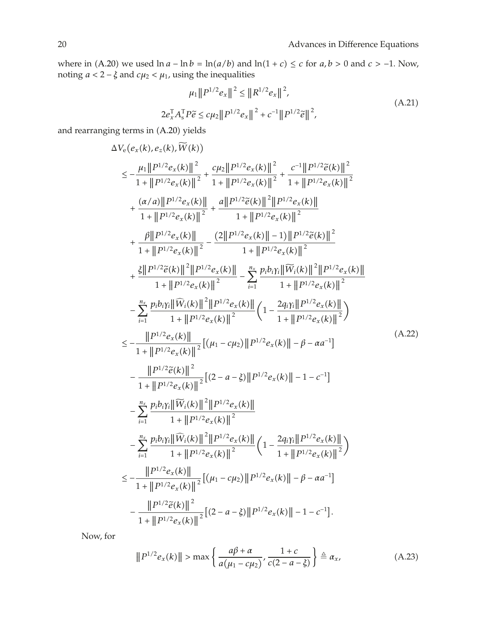where in (A.20) we used  $\ln a - \ln b = \ln(a/b)$  and  $\ln(1+c) \le c$  for  $a, b > 0$  and  $c > -1$ . Now, noting  $a < 2 - \xi$  and  $c\mu_2 < \mu_1$ , using the inequalities

$$
\mu_1 \| P^{1/2} e_x \|^{2} \le \| R^{1/2} e_x \|^{2},
$$
  

$$
2e_x^{\mathrm{T}} A_s^{\mathrm{T}} P \tilde{e} \le c \mu_2 \| P^{1/2} e_x \|^{2} + c^{-1} \| P^{1/2} \tilde{e} \|^{2},
$$
 (A.21)

and rearranging terms in (A.20) yields

$$
\Delta V_{\epsilon}(e_{x}(k), e_{z}(k), W(k))
$$
\n
$$
\leq -\frac{\mu_{1}||P^{1/2}e_{x}(k)||^{2}}{1+||P^{1/2}e_{x}(k)||^{2}} + \frac{c\mu_{2}||P^{1/2}e_{x}(k)||^{2}}{1+||P^{1/2}e_{x}(k)||^{2}} + \frac{c^{-1}||P^{1/2}\tilde{e}(k)||^{2}}{1+||P^{1/2}e_{x}(k)||^{2}} + \frac{(\alpha/\alpha)||P^{1/2}e_{x}(k)||^{2}}{1+||P^{1/2}e_{x}(k)||^{2}} + \frac{a||P^{1/2}\tilde{e}(k)||^{2}||P^{1/2}e_{x}(k)||^{2}}{1+||P^{1/2}e_{x}(k)||^{2}} + \frac{\beta||P^{1/2}e_{x}(k)||^{2}}{1+||P^{1/2}e_{x}(k)||^{2}} - \frac{(2||P^{1/2}e_{x}(k)||-1)||P^{1/2}\tilde{e}(k)||^{2}}{1+||P^{1/2}e_{x}(k)||^{2}} + \frac{\xi||P^{1/2}\tilde{e}(k)||^{2}||P^{1/2}e_{x}(k)||^{2}}{1+||P^{1/2}e_{x}(k)||^{2}} - \sum_{i=1}^{n_{x}} \frac{p_{i}b_{i}\gamma_{i}||\widetilde{W}_{i}(k)||^{2}||P^{1/2}e_{x}(k)||^{2}}{1+||P^{1/2}e_{x}(k)||^{2}} - \sum_{i=1}^{n_{x}} \frac{p_{i}b_{i}\gamma_{i}||\widetilde{W}_{i}(k)||^{2}||P^{1/2}e_{x}(k)||^{2}}{1+||P^{1/2}e_{x}(k)||^{2}} - \frac{p_{1/2}e_{x}(k)||^{2}}{1+||P^{1/2}e_{x}(k)||^{2}} [(u_{1}-cu_{2})||P^{1/2}e_{x}(k)||- \beta - \alpha a^{-1}]
$$
\n
$$
- \frac{||P^{1/2}\tilde{e}(k)||^{2}}{1+||P^{1/2}e_{x}(k)||^{2}} [(2-a-\xi)||P^{1/2}e_{x}(k)||-1-c^{-1}]
$$
\n
$$
- \sum_{i=1}^{n_{x}} \frac{p_{i}b_{i}\gamma_{i}||\wid
$$

Now, for

$$
||P^{1/2}e_x(k)|| > \max\left\{\frac{a\beta + \alpha}{a(\mu_1 - c\mu_2)}, \frac{1+c}{c(2-a-\xi)}\right\} \triangleq \alpha_x,
$$
 (A.23)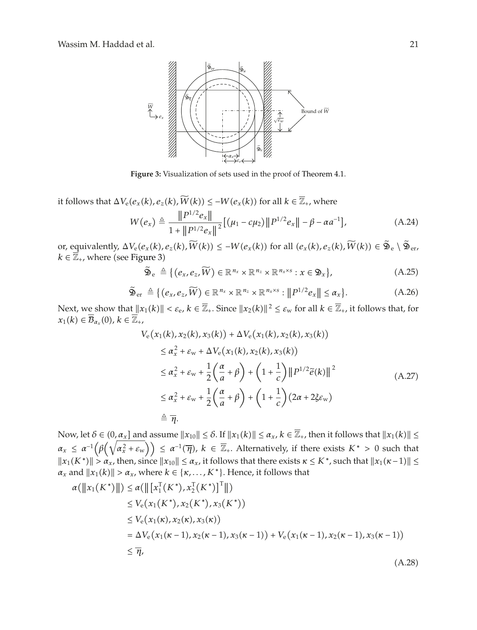

**Figure 3:** Visualization of sets used in the proof of Theorem 4.1.

it follows that  $\Delta V_e(e_x(k), e_z(k), \widetilde{W}(k)) \leq -W(e_x(k))$  for all  $k \in \overline{\mathbb{Z}}_+$ , where

$$
W(e_x) \triangleq \frac{\|P^{1/2}e_x\|}{1 + \|P^{1/2}e_x\|^2} [(\mu_1 - c\mu_2) \|P^{1/2}e_x\| - \beta - \alpha a^{-1}], \tag{A.24}
$$

or, equivalently,  $\Delta V_e(e_x(k), e_z(k), W(k)) \leq -W(e_x(k))$  for all  $(e_x(k), e_z(k), W(k)) \in \mathfrak{D}_e \setminus \mathfrak{D}_{\text{er}},$  $k \in \overline{\mathbb{Z}}_+$ , where (see Figure 3)

$$
\widetilde{\mathfrak{D}}_{e} \triangleq \{ (e_x, e_z, \widetilde{W}) \in \mathbb{R}^{n_x} \times \mathbb{R}^{n_z} \times \mathbb{R}^{n_x \times s} : x \in \mathfrak{D}_x \},\tag{A.25}
$$

$$
\widetilde{\mathfrak{D}}_{\text{er}} \triangleq \{ (e_x, e_z, \widetilde{W}) \in \mathbb{R}^{n_x} \times \mathbb{R}^{n_z} \times \mathbb{R}^{n_x \times s} : ||P^{1/2}e_x|| \leq \alpha_x \}. \tag{A.26}
$$

Next, we show that  $||x_1(k)|| < \varepsilon_e$ ,  $k \in \overline{\mathbb{Z}}_+$ . Since  $||x_2(k)||^2 \leq \varepsilon_w$  for all  $k \in \overline{\mathbb{Z}}_+$ , it follows that, for  $x_1(k) \in \overline{\mathcal{B}}_{\alpha_x}(0)$ ,  $k \in \overline{\mathbb{Z}}_+$ ,

$$
V_e(x_1(k), x_2(k), x_3(k)) + \Delta V_e(x_1(k), x_2(k), x_3(k))
$$
  
\n
$$
\leq \alpha_x^2 + \varepsilon_w + \Delta V_e(x_1(k), x_2(k), x_3(k))
$$
  
\n
$$
\leq \alpha_x^2 + \varepsilon_w + \frac{1}{2} \left( \frac{\alpha}{a} + \beta \right) + \left( 1 + \frac{1}{c} \right) ||P^{1/2}\tilde{e}(k)||^2
$$
  
\n
$$
\leq \alpha_x^2 + \varepsilon_w + \frac{1}{2} \left( \frac{\alpha}{a} + \beta \right) + \left( 1 + \frac{1}{c} \right) (2\alpha + 2\xi\varepsilon_w)
$$
  
\n
$$
\stackrel{\triangle}{=} \overline{\eta}.
$$
 (A.27)

Now, let  $\delta \in (0, \alpha_x]$  and assume  $||x_{10}|| \leq \delta$ . If  $||x_1(k)|| \leq \alpha_x$ ,  $k \in \overline{\mathbb{Z}}_+$ , then it follows that  $||x_1(k)|| \leq \delta$  $\alpha_x \leq \alpha^{-1} \Big( \beta \Big( \sqrt{ \alpha_x^2 + \varepsilon_{\text{w}} } \Big) \Big) \leq \alpha^{-1}(\overline{\eta}), \ k \in \overline{\mathbb{Z}}_+.$  Alternatively, if there exists  $K^* > 0$  such that  $||x_1(K^*)|| > \alpha_x$ , then, since  $||x_{10}|| \le \alpha_x$ , it follows that there exists  $\kappa \le K^*$ , such that  $||x_1(\kappa-1)|| \le$  $\alpha_x$  and  $||x_1(k)|| > \alpha_x$ , where  $k \in \{\kappa, \dots, K^*\}$ . Hence, it follows that

$$
\alpha(\|x_1(K^*)\|) \leq \alpha(\| [x_1^T(K^*), x_2^T(K^*)]^T \|)
$$
\n
$$
\leq V_e(x_1(K^*), x_2(K^*), x_3(K^*))
$$
\n
$$
\leq V_e(x_1(\kappa), x_2(\kappa), x_3(\kappa))
$$
\n
$$
= \Delta V_e(x_1(\kappa - 1), x_2(\kappa - 1), x_3(\kappa - 1)) + V_e(x_1(\kappa - 1), x_2(\kappa - 1), x_3(\kappa - 1))
$$
\n
$$
\leq \overline{\eta},
$$
\n(A.28)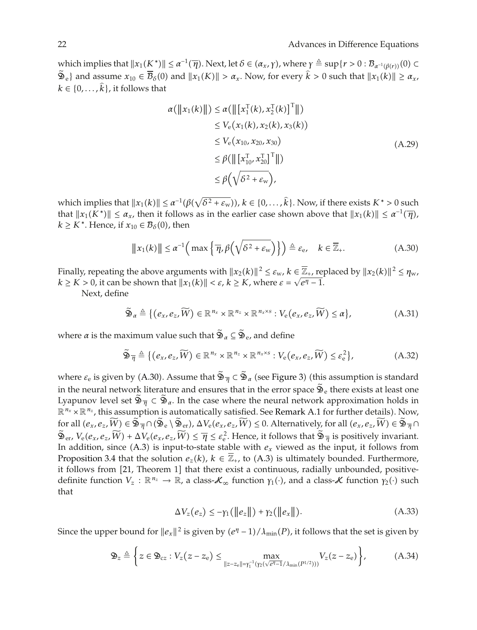which implies that  $||x_1(K^*)|| \le \alpha^{-1}(\overline{\eta})$ . Next, let  $\delta \in (\alpha_x, \gamma)$ , where  $\gamma \triangleq \sup\{r > 0 : \mathcal{B}_{\alpha^{-1}(\beta(r))}(0) \subset \overline{\alpha}$  $\widetilde{\mathfrak{D}}_{e}$  and assume  $x_{10} \in \overline{\mathcal{B}}_{\delta}(0)$  and  $||x_{1}(K)|| > \alpha_{x}$ . Now, for every  $\widehat{k} > 0$  such that  $||x_{1}(k)|| \ge \alpha_{x}$ ,  $k \in \{0, \ldots, \hat{k}\}\$ , it follows that

$$
\alpha(\|x_1(k)\|) \le \alpha(\| [x_1^T(k), x_2^T(k)]^T \|)
$$
  
\n
$$
\le V_e(x_1(k), x_2(k), x_3(k))
$$
  
\n
$$
\le V_e(x_{10}, x_{20}, x_{30})
$$
  
\n
$$
\le \beta(\| [x_{10}^T, x_{20}^T]^T \|)
$$
  
\n
$$
\le \beta(\sqrt{\delta^2 + \varepsilon_w}),
$$
\n(A.29)

which implies that  $||x_1(k)|| \le \alpha^{-1}(\beta(\sqrt{\delta^2 + \epsilon_w}))$ ,  $k \in \{0, \ldots, \hat{k}\}$ . Now, if there exists  $K^* > 0$  such that  $||x_1(K^*)|| \leq \alpha_x$ , then it follows as in the earlier case shown above that  $||x_1(k)|| \leq \alpha^{-1}(\overline{\eta})$ ,  $k \geq K^*$ . Hence, if  $x_{10} \in B_\delta(0)$ , then

$$
||x_1(k)|| \le \alpha^{-1} \Big( \max \Big\{ \overline{\eta}, \beta \Big( \sqrt{\delta^2 + \varepsilon_{\mathbf{w}}} \Big) \Big\} \Big) \triangleq \varepsilon_{\mathbf{e}}, \quad k \in \overline{\mathbb{Z}}_+.
$$
 (A.30)

Finally, repeating the above arguments with  $||x_2(k)||^2 \le \varepsilon_w$ ,  $k \in \overline{\mathbb{Z}}_+$ , replaced by  $||x_2(k)||^2 \le \eta_w$ , *k*  $\ge$  *K* > 0, it can be shown that  $||x_1(k)|| < \varepsilon$ ,  $k \ge K$ , where  $\varepsilon = \sqrt{e^{\eta} - 1}$ .

Next, define

$$
\widetilde{\mathfrak{D}}_{\alpha} \triangleq \{ (e_x, e_z, \widetilde{W}) \in \mathbb{R}^{n_x} \times \mathbb{R}^{n_z} \times \mathbb{R}^{n_x \times s} : V_e(e_x, e_z, \widetilde{W}) \leq \alpha \}, \tag{A.31}
$$

where *α* is the maximum value such that  $\widetilde{\mathfrak{D}}_a \subseteq \widetilde{\mathfrak{D}}_e$ , and define

$$
\widetilde{\mathfrak{D}}_{\overline{\eta}} \triangleq \big\{ (e_x, e_z, \widetilde{W}) \in \mathbb{R}^{n_x} \times \mathbb{R}^{n_z} \times \mathbb{R}^{n_x \times s} : V_e(e_x, e_z, \widetilde{W}) \leq \varepsilon_e^2 \big\},\tag{A.32}
$$

where  $\varepsilon_e$  is given by (A.30). Assume that  $\tilde{\mathfrak{D}}_{\overline{n}} \subset \tilde{\mathfrak{D}}_{\alpha}$  (see Figure 3) (this assumption is standard in the neural network literature and ensures that in the error space  $\widetilde{\mathfrak{D}}_e$  there exists at least one Lyapunov level set  $\tilde{\mathfrak{D}}_{\overline{n}} \subset \tilde{\mathfrak{D}}_{\alpha}$ . In the case where the neural network approximation holds in  $\mathbb{R}^{n_x} \times \mathbb{R}^{n_z}$ , this assumption is automatically satisfied. See Remark A.1 for further details). Now, for all  $(e_x, e_z, \widetilde{W}) \in \widetilde{\mathfrak{D}}_{\overline{n}} \cap (\widetilde{\mathfrak{D}}_{e} \setminus \widetilde{\mathfrak{D}}_{er}), \Delta V_e(e_x, e_z, \widetilde{W}) \leq 0$ . Alternatively, for all  $(e_x, e_z, \widetilde{W}) \in \widetilde{\mathfrak{D}}_{\overline{n}} \cap$  $\mathfrak{D}_{\text{er}}, V_e(e_x, e_z, \overline{W}) + \Delta V_e(e_x, e_z, \overline{W}) \leq \overline{\eta} \leq \varepsilon_e^2$ . Hence, it follows that  $\mathfrak{D}_{\overline{\eta}}$  is positively invariant. In addition, since  $(A.3)$  is input-to-state stable with  $e<sub>x</sub>$  viewed as the input, it follows from Proposition 3.4 that the solution  $e_z(k)$ ,  $k \in \overline{\mathbb{Z}}_+$ , to (A.3) is ultimately bounded. Furthermore, it follows from [21, Theorem 1] that there exist a continuous, radially unbounded, positivedefinite function  $V_z : \mathbb{R}^{n_z} \to \mathbb{R}$ , a class- $\mathcal{K}_{\infty}$  function  $\gamma_1(\cdot)$ , and a class- $\mathcal{K}$  function  $\gamma_2(\cdot)$  such that

$$
\Delta V_z(e_z) \le -\gamma_1(||e_z||) + \gamma_2(||e_x||). \tag{A.33}
$$

Since the upper bound for  $||e_x||^2$  is given by  $(e^{\eta} - 1)/\lambda_{\min}(P)$ , it follows that the set is given by

$$
\mathfrak{D}_z \triangleq \left\{ z \in \mathfrak{D}_{cz} : V_z(z - z_e) \le \max_{\|z - z_e\| = \gamma_1^{-1} (\gamma_2(\sqrt{e^{\eta} - 1}/\lambda_{\min}(P^{1/2})))} V_z(z - z_e) \right\},\tag{A.34}
$$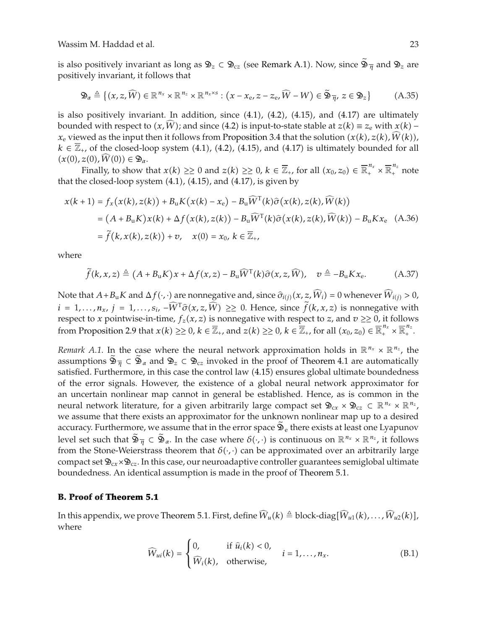is also positively invariant as long as  $\mathfrak{D}_z \subset \mathfrak{D}_{cz}$  (see Remark A.1). Now, since  $\mathfrak{D}_{\overline{n}}$  and  $\mathfrak{D}_z$  are positively invariant, it follows that

$$
\mathfrak{D}_{\alpha} \triangleq \left\{ (x, z, \widehat{W}) \in \mathbb{R}^{n_x} \times \mathbb{R}^{n_z} \times \mathbb{R}^{n_x \times s} : (x - x_e, z - z_e, \widehat{W} - W) \in \widetilde{\mathfrak{D}}_{\overline{\eta}}, \ z \in \mathfrak{D}_z \right\}
$$
(A.35)

is also positively invariant. In addition, since  $(4.1)$ ,  $(4.2)$ ,  $(4.15)$ , and  $(4.17)$  are ultimately bounded with respect to  $(x, \hat{W})$ ; and since (4.2) is input-to-state stable at  $z(k) \equiv z_e$  with  $x(k)$  – *x*<sub>e</sub> viewed as the input then it follows from Proposition 3.4 that the solution  $(x(k), z(k), \widehat{W}(k))$ ,  $k \in \overline{\mathbb{Z}}_+$ , of the closed-loop system (4.1), (4.2), (4.15), and (4.17) is ultimately bounded for all  $(x(0), z(0), \hat{W}(0)) \in \mathfrak{D}_{\alpha}$ .

Finally, to show that  $x(k) \ge 0$  and  $z(k) \ge 0$ ,  $k \in \overline{\mathbb{Z}}_+$ , for all  $(x_0, z_0) \in \overline{\mathbb{R}}_+^{n_x} \times \overline{\mathbb{R}}_+^{n_z}$  note that the closed-loop system  $(4.1)$ ,  $(4.15)$ , and  $(4.17)$ , is given by

$$
x(k+1) = f_x(x(k), z(k)) + B_u K(x(k) - x_e) - B_u \widehat{W}^T(k) \widehat{\sigma}(x(k), z(k), \widehat{W}(k))
$$
  
=  $(A + B_u K)x(k) + \Delta f(x(k), z(k)) - B_u \widehat{W}^T(k) \widehat{\sigma}(x(k), z(k), \widehat{W}(k)) - B_u K x_e$  (A.36)  
=  $\widetilde{f}(k, x(k), z(k)) + v, \quad x(0) = x_0, k \in \overline{\mathbb{Z}}_+$ ,

where

$$
\tilde{f}(k,x,z) \triangleq (A + B_{\rm u} K)x + \Delta f(x,z) - B_{\rm u} \widehat{W}^{\rm T}(k)\widehat{\sigma}(x,z,\widehat{W}), \quad v \triangleq -B_{\rm u} K x_{\rm e}.\tag{A.37}
$$

Note that  $A + B_u K$  and  $\Delta f(\cdot, \cdot)$  are nonnegative and, since  $\hat{\sigma}_{i(j)}(x, z, \hat{W}_i) = 0$  whenever  $\hat{W}_{i(j)} > 0$ ,  $i = 1, \ldots, n_x$ ,  $j = 1, \ldots, s_i$ ,  $-\widehat{W}^T \widehat{\sigma}(x, z, \widehat{W}) \geq 0$ . Hence, since  $\widetilde{f}(k, x, z)$  is nonnegative with respect to *x* pointwise-in-time,  $f_z(x, z)$  is nonnegative with respect to *z*, and  $v \ge 0$ , it follows from Proposition 2.9 that  $x(k) \ge 0$ ,  $k \in \overline{\mathbb{Z}}_+$ , and  $z(k) \ge 0$ ,  $k \in \overline{\mathbb{Z}}_+$ , for all  $(x_0, z_0) \in \overline{\mathbb{R}}_+^{n_x} \times \overline{\mathbb{R}}_+^{n_z}$ .

*Remark A.1.* In the case where the neural network approximation holds in  $\mathbb{R}^{n_x} \times \mathbb{R}^{n_z}$ , the assumptions  $\widetilde{\mathfrak{D}}_{\overline{n}} \subset \widetilde{\mathfrak{D}}_{\alpha}$  and  $\mathfrak{D}_{z} \subset \mathfrak{D}_{cz}$  invoked in the proof of Theorem 4.1 are automatically satisfied. Furthermore, in this case the control law  $(4.15)$  ensures global ultimate boundedness of the error signals. However, the existence of a global neural network approximator for an uncertain nonlinear map cannot in general be established. Hence, as is common in the neural network literature, for a given arbitrarily large compact set  $\mathfrak{D}_{cx} \times \mathfrak{D}_{cz} \subset \mathbb{R}^{n_x} \times \mathbb{R}^{n_z}$ , we assume that there exists an approximator for the unknown nonlinear map up to a desired accuracy. Furthermore, we assume that in the error space  $\tilde{\mathbb{P}}_e$  there exists at least one Lyapunov level set such that  $\widetilde{\mathfrak{D}}_{\overline{n}} \subset \widetilde{\mathfrak{D}}_{\alpha}$ . In the case where  $\delta(\cdot,\cdot)$  is continuous on  $\mathbb{R}^{n_x} \times \mathbb{R}^{n_z}$ , it follows from the Stone-Weierstrass theorem that  $\delta(\cdot, \cdot)$  can be approximated over an arbitrarily large compact set  $\mathfrak{D}_{cx} \times \mathfrak{D}_{cz}$ . In this case, our neuroadaptive controller guarantees semiglobal ultimate boundedness. An identical assumption is made in the proof of Theorem 5.1.

#### **B. Proof of Theorem 5.1**

In this appendix, we prove Theorem 5.1. First, define  $W_u(k) \triangleq \text{block-diag}[W_{u1}(k), \ldots, W_{u2}(k)],$ where

$$
\widehat{W}_{ui}(k) = \begin{cases} 0, & \text{if } \widehat{u}_i(k) < 0, \\ \widehat{W}_i(k), & \text{otherwise,} \end{cases} \quad i = 1, \dots, n_x. \tag{B.1}
$$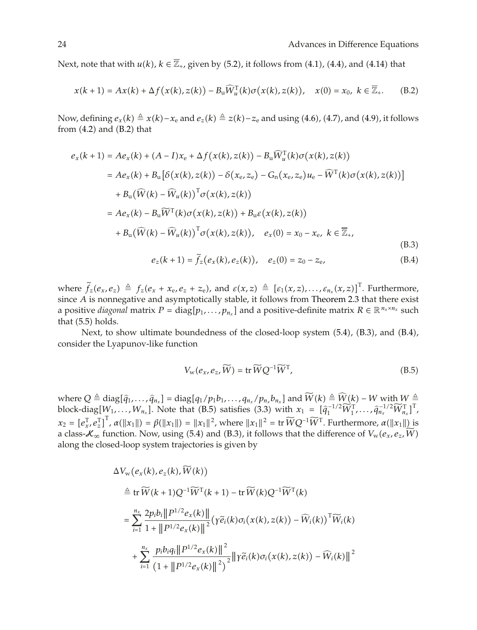Next, note that with  $u(k)$ ,  $k \in \mathbb{Z}_+$ , given by (5.2), it follows from (4.1), (4.4), and (4.14) that

$$
x(k+1) = Ax(k) + \Delta f\big(x(k), z(k)\big) - B_u \widehat{W}_u^T(k) \sigma\big(x(k), z(k)\big), \quad x(0) = x_0, \ k \in \overline{\mathbb{Z}}_+.\tag{B.2}
$$

Now, defining  $e_x(k) \triangleq x(k) - x_e$  and  $e_z(k) \triangleq z(k) - z_e$  and using (4.6), (4.7), and (4.9), it follows from  $(4.2)$  and  $(B.2)$  that

$$
e_{x}(k+1) = Ae_{x}(k) + (A - I)x_{e} + \Delta f(x(k), z(k)) - B_{u}\widehat{W}_{u}^{T}(k)\sigma(x(k), z(k))
$$
  
\n
$$
= Ae_{x}(k) + B_{u}[\delta(x(k), z(k)) - \delta(x_{e}, z_{e}) - G_{n}(x_{e}, z_{e})u_{e} - \widehat{W}^{T}(k)\sigma(x(k), z(k))]
$$
  
\n
$$
+ B_{u}(\widehat{W}(k) - \widehat{W}_{u}(k))^{T}\sigma(x(k), z(k))
$$
  
\n
$$
= Ae_{x}(k) - B_{u}\widetilde{W}^{T}(k)\sigma(x(k), z(k)) + B_{u}\varepsilon(x(k), z(k))
$$
  
\n
$$
+ B_{u}(\widehat{W}(k) - \widehat{W}_{u}(k))^{T}\sigma(x(k), z(k)), \quad e_{x}(0) = x_{0} - x_{e}, \ k \in \overline{\mathbb{Z}}_{+},
$$
  
\n(B.3)  
\n
$$
e_{z}(k+1) = \widetilde{f}_{z}(e_{x}(k), e_{z}(k)), \quad e_{z}(0) = z_{0} - z_{e},
$$
  
\n(B.4)

where  $\tilde{f}_z(e_x, e_z) \triangleq f_z(e_x + x_e, e_z + z_e)$ , and  $\varepsilon(x, z) \triangleq [\varepsilon_1(x, z), \dots, \varepsilon_{n_x}(x, z)]^T$ . Furthermore, since *A* is nonnegative and asymptotically stable, it follows from Theorem 2.3 that there exist a positive *diagonal* matrix  $P = \text{diag}[p_1, \ldots, p_{n_x}]$  and a positive-definite matrix  $R \in \mathbb{R}^{n_x \times n_x}$  such that  $(5.5)$  holds.

Next, to show ultimate boundedness of the closed-loop system  $(5.4)$ ,  $(B.3)$ , and  $(B.4)$ , consider the Lyapunov-like function

$$
V_{\rm w}(e_x, e_z, \widetilde{W}) = \text{tr}\,\widetilde{W}Q^{-1}\widetilde{W}^{\rm T},\tag{B.5}
$$

 $\hat{Q} \triangleq \text{diag}[\hat{q}_1, \dots, \hat{q}_{n_x}] = \text{diag}[q_1/p_1b_1, \dots, q_{n_x}/p_{n_x}b_{n_x}]$  and  $W(k) \triangleq W(k) - W$  with  $W \triangleq \text{Mod}(M(k))$ block-diag $[W_1, \ldots, W_{n_x}]$ . Note that (B.5) satisfies (3.3) with  $x_1 = [\hat{q}_1^{-1/2} \widetilde{W}_1^T, \ldots, \hat{q}_{n_x}^{-1/2} \widetilde{W}_{n_x}^T]^T$ ,  $x_2 = [e_x^T, e_x^T]^T$ ,  $\alpha(||x_1||) = \beta(||x_1||) = ||x_1||^2$ , where  $||x_1||^2 = \text{tr } \widetilde{W} Q^{-1} \widetilde{W}^T$ . Furthermore,  $\alpha(||x_1||)$  is a class- $\mathcal{K}_{\infty}$  function. Now, using (5.4) and (B.3), it follows that the difference of  $V_w(e_x, e_z, \widetilde{W})$ along the closed-loop system trajectories is given by

$$
\Delta V_{\rm w}(e_{x}(k), e_{z}(k), \widetilde{W}(k))
$$
\n
$$
\triangleq \text{tr}\,\widetilde{W}(k+1)Q^{-1}\widetilde{W}^{\rm T}(k+1) - \text{tr}\,\widetilde{W}(k)Q^{-1}\widetilde{W}^{\rm T}(k)
$$
\n
$$
= \sum_{i=1}^{n_{x}} \frac{2p_{i}b_{i}||P^{1/2}e_{x}(k)||}{1+||P^{1/2}e_{x}(k)||^{2}} (\gamma \widetilde{e}_{i}(k)\sigma_{i}(x(k), z(k)) - \widehat{W}_{i}(k))^{\rm T} \widetilde{W}_{i}(k)
$$
\n
$$
+ \sum_{i=1}^{n_{x}} \frac{p_{i}b_{i}q_{i}||P^{1/2}e_{x}(k)||^{2}}{(1+||P^{1/2}e_{x}(k)||^{2})^{2}} ||\gamma \widetilde{e}_{i}(k)\sigma_{i}(x(k), z(k)) - \widehat{W}_{i}(k)||^{2}
$$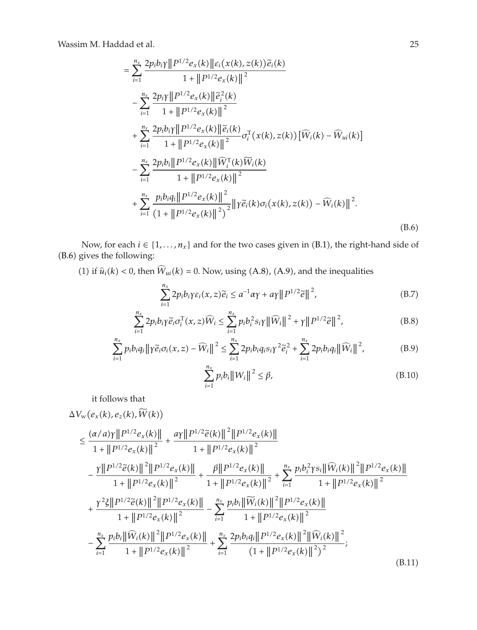$$
= \sum_{i=1}^{n_x} \frac{2p_i b_i \gamma ||P^{1/2}e_x(k)||\varepsilon_i(x(k), z(k))\tilde{e}_i(k)}{1 + ||P^{1/2}e_x(k)||^2} - \sum_{i=1}^{n_x} \frac{2p_i \gamma ||P^{1/2}e_x(k)||\tilde{e}_i^2(k)}{1 + ||P^{1/2}e_x(k)||^2} + \sum_{i=1}^{n_x} \frac{2p_i b_i \gamma ||P^{1/2}e_x(k)||\tilde{e}_i(k)}{1 + ||P^{1/2}e_x(k)||^2} \sigma_i^{\mathrm{T}}(x(k), z(k))[\widehat{W}_i(k) - \widehat{W}_{ui}(k)] - \sum_{i=1}^{n_x} \frac{2p_i b_i ||P^{1/2}e_x(k)||\widehat{W}_i^{\mathrm{T}}(k)\widetilde{W}_i(k)}{1 + ||P^{1/2}e_x(k)||^2} + \sum_{i=1}^{n_x} \frac{p_i b_i q_i ||P^{1/2}e_x(k)||^2}{(1 + ||P^{1/2}e_x(k)||^2)} ||\gamma \tilde{e}_i(k) \sigma_i(x(k), z(k)) - \widehat{W}_i(k)||^2.
$$
\n(B.6)

Now, for each  $i \in \{1, \ldots, n_x\}$  and for the two cases given in (B.1), the right-hand side of (B.6) gives the following:

(1) if  $\hat{u}_i(k) < 0$ , then  $\widehat{W}_{ui}(k) = 0$ . Now, using (A.8), (A.9), and the inequalities

$$
\sum_{i=1}^{n_x} 2p_i b_i \gamma \varepsilon_i(x, z) \tilde{e}_i \le a^{-1} \alpha \gamma + a \gamma ||P^{1/2} \tilde{e}||^2,
$$
\n(B.7)

$$
\sum_{i=1}^{n_x} 2p_i b_i \gamma \widetilde{e}_i \sigma_i^{\mathrm{T}}(x, z) \widehat{W}_i \le \sum_{i=1}^{n_x} p_i b_i^2 s_i \gamma ||\widehat{W}_i||^2 + \gamma ||P^{1/2}\widetilde{e}||^2,
$$
\n(B.8)

$$
\sum_{i=1}^{n_x} p_i b_i q_i \| \gamma \widetilde{e}_i \sigma_i(x, z) - \widehat{W}_i \|^2 \leq \sum_{i=1}^{n_x} 2 p_i b_i q_i s_i \gamma^2 \widetilde{e}_i^2 + \sum_{i=1}^{n_x} 2 p_i b_i q_i \| \widehat{W}_i \|^2,
$$
 (B.9)

$$
\sum_{i=1}^{n_x} p_i b_i \|W_i\|^2 \le \beta,
$$
\n(B.10)

it follows that

$$
\Delta V_{\rm w}(e_{x}(k),e_{z}(k),\widetilde{W}(k))
$$
\n
$$
\leq \frac{(\alpha/a)\gamma\|P^{1/2}e_{x}(k)\|}{1+\|P^{1/2}e_{x}(k)\|^{2}}+\frac{a\gamma\|P^{1/2}\tilde{e}(k)\|^{2}\|P^{1/2}e_{x}(k)\|}{1+\|P^{1/2}e_{x}(k)\|^{2}}-\frac{\gamma\|P^{1/2}\tilde{e}(k)\|^{2}\|P^{1/2}e_{x}(k)\|}{1+\|P^{1/2}e_{x}(k)\|^{2}}+\frac{\beta\|P^{1/2}e_{x}(k)\|}{1+\|P^{1/2}e_{x}(k)\|^{2}}+\sum_{i=1}^{n_{x}}\frac{p_{i}b_{i}^{2}\gamma s_{i}\|\widehat{W}_{i}(k)\|^{2}\|P^{1/2}e_{x}(k)\|}{1+\|P^{1/2}e_{x}(k)\|^{2}}+\frac{\gamma^{2}\xi\|P^{1/2}\tilde{e}(k)\|^{2}\|P^{1/2}e_{x}(k)\|}{1+\|P^{1/2}e_{x}(k)\|^{2}}-\sum_{i=1}^{n_{x}}\frac{p_{i}b_{i}\|\widetilde{W}_{i}(k)\|^{2}\|P^{1/2}e_{x}(k)\|}{1+\|P^{1/2}e_{x}(k)\|^{2}}-\sum_{i=1}^{n_{x}}\frac{p_{i}b_{i}\|\widehat{W}_{i}(k)\|^{2}\|P^{1/2}e_{x}(k)\|^{2}}{1+\|P^{1/2}e_{x}(k)\|^{2}}+\sum_{i=1}^{n_{x}}\frac{2p_{i}b_{i}q_{i}\|P^{1/2}e_{x}(k)\|^{2}\|\widehat{W}_{i}(k)\|^{2}}{(\1+\|P^{1/2}e_{x}(k)\|^{2})^{2}};\tag{B.11}
$$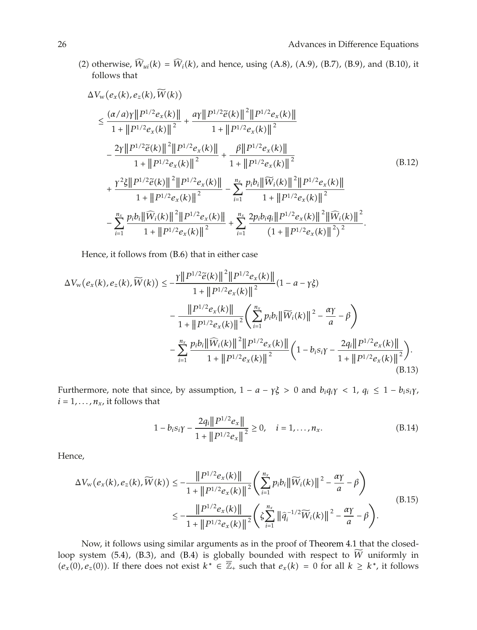(2) otherwise,  $\widehat{W}_{ui}(k) = \widehat{W}_i(k)$ , and hence, using (A.8), (A.9), (B.7), (B.9), and (B.10), it follows that

$$
\Delta V_{\rm w}(e_{x}(k), e_{z}(k), \widetilde{W}(k))
$$
\n
$$
\leq \frac{(\alpha/a)\gamma \|P^{1/2}e_{x}(k)\|}{1 + \|P^{1/2}e_{x}(k)\|^2} + \frac{a\gamma \|P^{1/2}\tilde{e}(k)\|^2 \|P^{1/2}e_{x}(k)\|}{1 + \|P^{1/2}e_{x}(k)\|^2} - \frac{2\gamma \|P^{1/2}\tilde{e}(k)\|^2 \|P^{1/2}e_{x}(k)\|}{1 + \|P^{1/2}e_{x}(k)\|^2} + \frac{\beta \|P^{1/2}e_{x}(k)\|}{1 + \|P^{1/2}e_{x}(k)\|^2} + \frac{\gamma^2 \xi \|P^{1/2}\tilde{e}(k)\|^2 \|P^{1/2}e_{x}(k)\|}{1 + \|P^{1/2}e_{x}(k)\|^2} - \sum_{i=1}^{n_{x}} \frac{p_{i}b_{i} \|\widetilde{W}_{i}(k)\|^2 \|P^{1/2}e_{x}(k)\|}{1 + \|P^{1/2}e_{x}(k)\|^2} - \sum_{i=1}^{n_{x}} \frac{p_{i}b_{i} \|\widetilde{W}_{i}(k)\|^2 \|P^{1/2}e_{x}(k)\|^2}{1 + \|P^{1/2}e_{x}(k)\|^2} + \sum_{i=1}^{n_{x}} \frac{2p_{i}b_{i}q_{i} \|P^{1/2}e_{x}(k)\|^2 \|\widetilde{W}_{i}(k)\|^2}{(1 + \|P^{1/2}e_{x}(k)\|^2)^2}.
$$
\n(6.12)

Hence, it follows from  $(B.6)$  that in either case

$$
\Delta V_{\rm w}(e_{x}(k), e_{z}(k), \widetilde{W}(k)) \leq -\frac{\gamma ||P^{1/2}\widetilde{e}(k)||^{2}||P^{1/2}e_{x}(k)||}{1 + ||P^{1/2}e_{x}(k)||^{2}} (1 - a - \gamma \xi)
$$
  

$$
-\frac{||P^{1/2}e_{x}(k)||}{1 + ||P^{1/2}e_{x}(k)||^{2}} \left(\sum_{i=1}^{n_{x}} p_{i}b_{i} ||\widetilde{W}_{i}(k)||^{2} - \frac{\alpha \gamma}{a} - \beta\right)
$$
  

$$
-\sum_{i=1}^{n_{x}} \frac{p_{i}b_{i} ||\widehat{W}_{i}(k)||^{2}||P^{1/2}e_{x}(k)||}{1 + ||P^{1/2}e_{x}(k)||^{2}} \left(1 - b_{i}s_{i}\gamma - \frac{2q_{i} ||P^{1/2}e_{x}(k)||}{1 + ||P^{1/2}e_{x}(k)||^{2}}\right).
$$
(B.13)

Furthermore, note that since, by assumption,  $1 - a - \gamma \xi > 0$  and  $b_i q_i \gamma < 1$ ,  $q_i \leq 1 - b_i s_i \gamma$ ,  $i = 1, \ldots, n_x$ , it follows that

$$
1 - b_i s_i \gamma - \frac{2q_i \| P^{1/2} e_x \|}{1 + \| P^{1/2} e_x \|^2} \ge 0, \quad i = 1, ..., n_x.
$$
 (B.14)

Hence,

$$
\Delta V_{\rm w}(e_{x}(k), e_{z}(k), \widetilde{W}(k)) \leq -\frac{\|P^{1/2}e_{x}(k)\|}{1 + \|P^{1/2}e_{x}(k)\|^2} \left(\sum_{i=1}^{n_{x}} p_{i}b_{i} \|\widetilde{W}_{i}(k)\|^2 - \frac{\alpha \gamma}{a} - \beta\right)
$$
\n
$$
\leq -\frac{\|P^{1/2}e_{x}(k)\|}{1 + \|P^{1/2}e_{x}(k)\|^2} \left(\xi \sum_{i=1}^{n_{x}} \|\widehat{q}_{i}^{-1/2}\widetilde{W}_{i}(k)\|^2 - \frac{\alpha \gamma}{a} - \beta\right).
$$
\n(B.15)

Now, it follows using similar arguments as in the proof of Theorem 4.1 that the closedloop system (5.4), (B.3), and (B.4) is globally bounded with respect to  $\widetilde{W}$  uniformly in  $(e_x(0), e_z(0))$ . If there does not exist  $k^* \in \overline{\mathbb{Z}}$  such that  $e_x(k) = 0$  for all  $k \geq k^*$ , it follows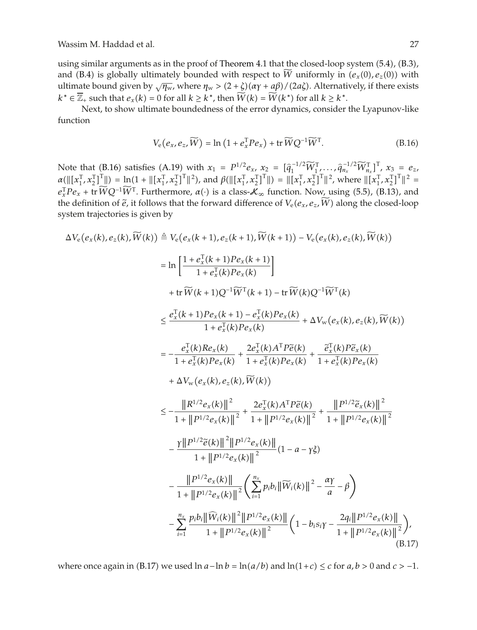using similar arguments as in the proof of Theorem 4.1 that the closed-loop system  $(5.4)$ ,  $(B.3)$ , and (B.4) is globally ultimately bounded with respect to  $\widetilde{W}$  uniformly in  $(e_x(0), e_z(0))$  with ultimate bound given by  $\sqrt{\eta_w}$ , where  $\eta_w$  >  $(2 + \zeta)(\alpha \gamma + \alpha \beta)/(2\alpha \zeta)$ . Alternatively, if there exists  $k^* \in \mathbb{Z}_+$  such that  $e_x(k) = 0$  for all  $k \geq k^*$ , then  $\widetilde{W}(k) = \widetilde{W}(k^*)$  for all  $k \geq k^*$ .

Next, to show ultimate boundedness of the error dynamics, consider the Lyapunov-like function

$$
V_{\rm e}(e_x,e_z,\widetilde{W}) = \ln\left(1 + e_x^{\rm T}Pe_x\right) + \text{tr}\,\widetilde{W}Q^{-1}\widetilde{W}^{\rm T}.\tag{B.16}
$$

Note that (B.16) satisfies (A.19) with  $x_1 = P^{1/2}e_x$ ,  $x_2 = [\hat{q}_1^{-1/2}\widetilde{W}_1^T, \dots, \hat{q}_{n_x}^{-1/2}\widetilde{W}_{n_x}^T]^T$ ,  $x_3 = e_z$ ,<br> $x_4 = e_{11}e_{12}e_{13} + e_{22}e_{14}e_{15}e_{16} + e_{15}e_{17}e_{17}e_{18}$  and  $x_5 = e_{16}e_{17}e_{17}e_{18}$ .  $\alpha(\|[x_1^T, x_2^T]^T\|) = \ln(1 + \|[x_1^T, x_2^T]^T\|^2)$ , and  $\beta(\|[x_1^T, x_2^T]^T\|) = \|[x_1^T, x_2^T]^T\|^2$ , where  $\|[x_1^T, x_2^T]^T\|^2 =$  $e_x^T P e_x + \text{tr } W Q^{-1} W^T$ . Furthermore, *α*(·) is a class- $\mathcal{K}_{\infty}$  function. Now, using (5.5), (B.13), and the definition of  $\tilde{e}$ , it follows that the forward difference of  $V_e(e_x, e_z, \widetilde{W})$  along the closed-loop system trajectories is given by

$$
\Delta V_{e}(e_{x}(k), e_{z}(k), W(k)) \triangleq V_{e}(e_{x}(k+1), e_{z}(k+1), W(k+1)) - V_{e}(e_{x}(k), e_{z}(k), W(k))
$$
\n
$$
= \ln \left[ \frac{1 + e_{x}^{T}(k+1)Pe_{x}(k+1)}{1 + e_{x}^{T}(k)Pe_{x}(k)} \right]
$$
\n
$$
+ \text{tr}\,\widetilde{W}(k+1)Q^{-1}\widetilde{W}^{T}(k+1) - \text{tr}\,\widetilde{W}(k)Q^{-1}\widetilde{W}^{T}(k)
$$
\n
$$
\leq \frac{e_{x}^{T}(k+1)Pe_{x}(k+1) - e_{x}^{T}(k)Pe_{x}(k)}{1 + e_{x}^{T}(k)Pe_{x}(k)} + \Delta V_{w}(e_{x}(k), e_{z}(k), \widetilde{W}(k))
$$
\n
$$
= -\frac{e_{x}^{T}(k)Re_{x}(k)}{1 + e_{x}^{T}(k)Pe_{x}(k)} + \frac{2e_{x}^{T}(k)A^{T}P\tilde{e}(k)}{1 + e_{x}^{T}(k)Pe_{x}(k)} + \frac{\tilde{e}_{x}^{T}(k)P\tilde{e}_{x}(k)}{1 + e_{x}^{T}(k)Pe_{x}(k)}
$$
\n
$$
+ \Delta V_{w}(e_{x}(k), e_{z}(k), \widetilde{W}(k))
$$
\n
$$
\leq -\frac{\|R^{1/2}e_{x}(k)\|^{2}}{1 + \|P^{1/2}e_{x}(k)\|^{2}} + \frac{2e_{x}^{T}(k)A^{T}P\tilde{e}(k)}{1 + \|P^{1/2}e_{x}(k)\|^{2}} + \frac{\|P^{1/2}\tilde{e}_{x}(k)\|^{2}}{1 + \|P^{1/2}e_{x}(k)\|^{2}}
$$
\n
$$
- \frac{\gamma \|P^{1/2}\tilde{e}(k)\|^{2} \|P^{1/2}e_{x}(k)\|}{1 + \|P^{1/2}e_{x}(k)\|^{2}} \left(1 - a - \gamma \xi\right)
$$
\n
$$
- \frac{\gamma_{r}}{1 + \|P^{1/2}e_{x}(k)\|^{2} \left( \sum_{i=1}^{n_{r}} p_{i}b_{i} \|\wid
$$

where once again in (B.17) we used  $\ln a - \ln b = \ln(a/b)$  and  $\ln(1+c) \leq c$  for  $a, b > 0$  and  $c > -1$ .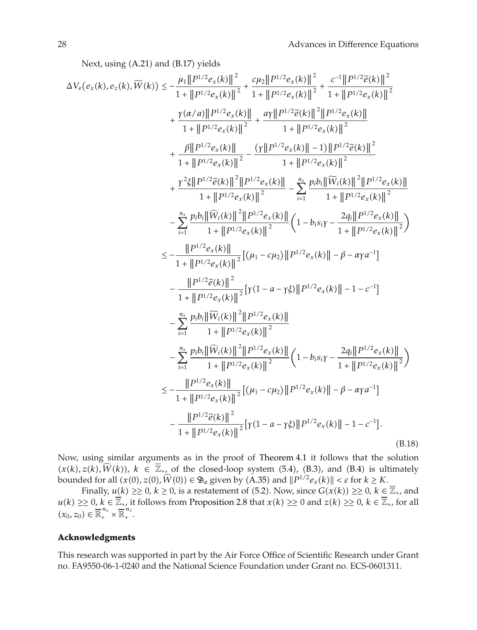Next, using  $(A.21)$  and  $(B.17)$  yields

$$
\Delta V_{e}(e_{x}(k),e_{z}(k),\widetilde{W}(k)) \leq -\frac{\mu_{1}\|p^{1/2}e_{x}(k)\|^{2}}{1+\|p^{1/2}e_{x}(k)\|^{2}} + \frac{c\mu_{2}\|p^{1/2}e_{x}(k)\|^{2}}{1+\|p^{1/2}e_{x}(k)\|^{2}} + \frac{c^{-1}\|p^{1/2}\tilde{e}(k)\|^{2}}{1+\|p^{1/2}e_{x}(k)\|^{2}} + \frac{\gamma(\alpha/a)\|p^{1/2}e_{x}(k)\|^{2}}{1+\|p^{1/2}e_{x}(k)\|^{2}} + \frac{\alpha\|p^{1/2}\tilde{e}(k)\|^{2}\|p^{1/2}e_{x}(k)\|^{2}}{1+\|p^{1/2}e_{x}(k)\|^{2}} + \frac{\beta\|p^{1/2}e_{x}(k)\|^{2}}{1+\|p^{1/2}e_{x}(k)\|^{2}} - \frac{(\gamma\|p^{1/2}e_{x}(k)\| - 1)\|p^{1/2}\tilde{e}(k)\|^{2}}{1+\|p^{1/2}e_{x}(k)\|^{2}} - \frac{\gamma^{2}\zeta\|p^{1/2}\tilde{e}(k)\|^{2}\|p^{1/2}e_{x}(k)\|^{2}}{1+\|p^{1/2}e_{x}(k)\|^{2}} - \sum_{i=1}^{\frac{\mu_{2}}{2}}\frac{p_{i}b_{i}\|\widetilde{W}(k)\|^{2}\|p^{1/2}e_{x}(k)\|^{2}}{1+\|p^{1/2}e_{x}(k)\|^{2}} - \sum_{i=1}^{\frac{\mu_{2}}{2}}\frac{p_{i}b_{i}\|\widetilde{W}(k)\|^{2}\|p^{1/2}e_{x}(k)\|^{2}}{1+\|p^{1/2}e_{x}(k)\|^{2}} - \frac{\frac{\mu_{2}}{2}}{1+\|p^{1/2}e_{x}(k)\|^{2}}\left[(\mu_{1}-\epsilon\mu_{2})\|p^{1/2}e_{x}(k)\|-\beta-\alpha\gamma a^{-1}\right] - \frac{\mu_{1}\mu_{2}\sqrt{2}}{1+\|p^{1/2}e_{x}(k)\|^{2}}\left[\gamma(1-a-\gamma\xi)\|p^{1/2}e_{x}(k)\|-\beta-\alpha\gamma a^{-1}\right] - \frac{\
$$

Now, using similar arguments as in the proof of Theorem 4.1 it follows that the solution  $(x(k), z(k), \widehat{W}(k))$ ,  $k \in \overline{\mathbb{Z}}_+$ , of the closed-loop system (5.4), (B.3), and (B.4) is ultimately bounded for all  $(x(0), z(0), \widehat{W}(0)) \in \mathfrak{D}_\alpha$  given by  $(A.35)$  and  $||P^{1/2}e_x(k)|| < \varepsilon$  for  $k \geq K$ .

Finally,  $u(k) \ge 0$ ,  $k \ge 0$ , is a restatement of (5.2). Now, since  $G(x(k)) \ge 0$ ,  $k \in \mathbb{Z}_+$ , and *u*(*k*) ≥≥ 0,  $k \in \mathbb{Z}_+$ , it follows from Proposition 2.8 that *x*(*k*) ≥≥ 0 and *z*(*k*) ≥≥ 0,  $k \in \mathbb{Z}_+$ , for all  $(x_0, z_0) \in \overline{\mathbb{R}}_+^{n_x} \times \overline{\mathbb{R}}_+^{n_z}.$ 

# **Acknowledgments**

This research was supported in part by the Air Force Office of Scientific Research under Grant no. FA9550-06-1-0240 and the National Science Foundation under Grant no. ECS-0601311.